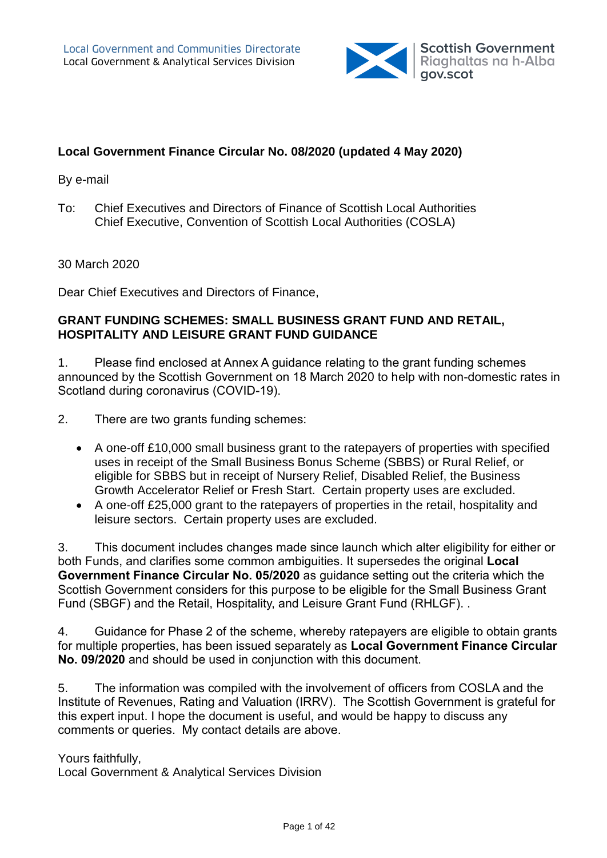

#### **Local Government Finance Circular No. 08/2020 (updated 4 May 2020)**

#### By e-mail

To: Chief Executives and Directors of Finance of Scottish Local Authorities Chief Executive, Convention of Scottish Local Authorities (COSLA)

30 March 2020

Dear Chief Executives and Directors of Finance,

#### **GRANT FUNDING SCHEMES: SMALL BUSINESS GRANT FUND AND RETAIL, HOSPITALITY AND LEISURE GRANT FUND GUIDANCE**

1. Please find enclosed at Annex A guidance relating to the grant funding schemes announced by the Scottish Government on 18 March 2020 to help with non-domestic rates in Scotland during coronavirus (COVID-19).

2. There are two grants funding schemes:

- A one-off £10,000 small business grant to the ratepayers of properties with specified uses in receipt of the Small Business Bonus Scheme (SBBS) or Rural Relief, or eligible for SBBS but in receipt of Nursery Relief, Disabled Relief, the Business Growth Accelerator Relief or Fresh Start. Certain property uses are excluded.
- A one-off £25,000 grant to the ratepayers of properties in the retail, hospitality and leisure sectors. Certain property uses are excluded.

3. This document includes changes made since launch which alter eligibility for either or both Funds, and clarifies some common ambiguities. It supersedes the original **Local Government Finance Circular No. 05/2020** as guidance setting out the criteria which the Scottish Government considers for this purpose to be eligible for the Small Business Grant Fund (SBGF) and the Retail, Hospitality, and Leisure Grant Fund (RHLGF). .

4. Guidance for Phase 2 of the scheme, whereby ratepayers are eligible to obtain grants for multiple properties, has been issued separately as **Local Government Finance Circular No. 09/2020** and should be used in conjunction with this document.

5. The information was compiled with the involvement of officers from COSLA and the Institute of Revenues, Rating and Valuation (IRRV). The Scottish Government is grateful for this expert input. I hope the document is useful, and would be happy to discuss any comments or queries. My contact details are above.

Yours faithfully,

Local Government & Analytical Services Division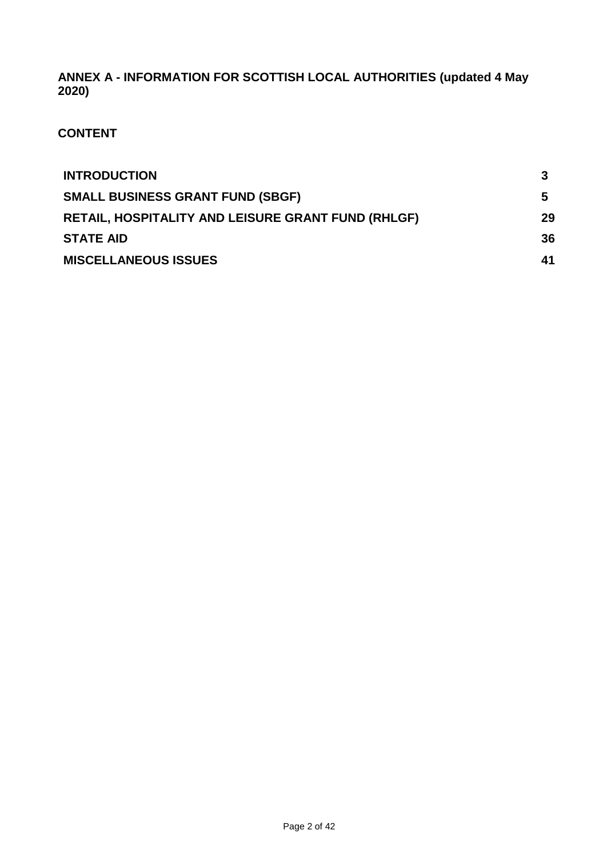**ANNEX A - INFORMATION FOR SCOTTISH LOCAL AUTHORITIES (updated 4 May 2020)**

**CONTENT**

| <b>INTRODUCTION</b>                                       |    |
|-----------------------------------------------------------|----|
| <b>SMALL BUSINESS GRANT FUND (SBGF)</b>                   | 5  |
| <b>RETAIL, HOSPITALITY AND LEISURE GRANT FUND (RHLGF)</b> | 29 |
| <b>STATE AID</b>                                          | 36 |
| <b>MISCELLANEOUS ISSUES</b>                               | 41 |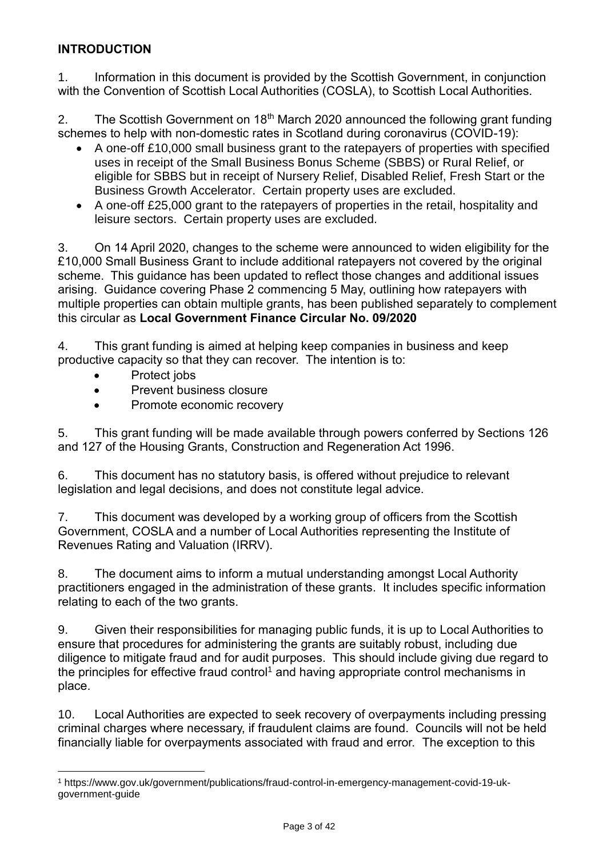### **INTRODUCTION**

1. Information in this document is provided by the Scottish Government, in conjunction with the Convention of Scottish Local Authorities (COSLA), to Scottish Local Authorities.

2. The Scottish Government on 18<sup>th</sup> March 2020 announced the following grant funding schemes to help with non-domestic rates in Scotland during coronavirus (COVID-19):

- A one-off £10,000 small business grant to the ratepayers of properties with specified uses in receipt of the Small Business Bonus Scheme (SBBS) or Rural Relief, or eligible for SBBS but in receipt of Nursery Relief, Disabled Relief, Fresh Start or the Business Growth Accelerator. Certain property uses are excluded.
- A one-off £25,000 grant to the ratepayers of properties in the retail, hospitality and leisure sectors. Certain property uses are excluded.

3. On 14 April 2020, changes to the scheme were announced to widen eligibility for the £10,000 Small Business Grant to include additional ratepayers not covered by the original scheme. This guidance has been updated to reflect those changes and additional issues arising. Guidance covering Phase 2 commencing 5 May, outlining how ratepayers with multiple properties can obtain multiple grants, has been published separately to complement this circular as **Local Government Finance Circular No. 09/2020**

4. This grant funding is aimed at helping keep companies in business and keep productive capacity so that they can recover. The intention is to:

Protect jobs

l

- Prevent business closure
- Promote economic recovery

5. This grant funding will be made available through powers conferred by Sections 126 and 127 of the Housing Grants, Construction and Regeneration Act 1996.

6. This document has no statutory basis, is offered without prejudice to relevant legislation and legal decisions, and does not constitute legal advice.

7. This document was developed by a working group of officers from the Scottish Government, COSLA and a number of Local Authorities representing the Institute of Revenues Rating and Valuation (IRRV).

8. The document aims to inform a mutual understanding amongst Local Authority practitioners engaged in the administration of these grants. It includes specific information relating to each of the two grants.

9. Given their responsibilities for managing public funds, it is up to Local Authorities to ensure that procedures for administering the grants are suitably robust, including due diligence to mitigate fraud and for audit purposes. This should include giving due regard to the principles for effective fraud control<sup>1</sup> and having appropriate control mechanisms in place.

10. Local Authorities are expected to seek recovery of overpayments including pressing criminal charges where necessary, if fraudulent claims are found. Councils will not be held financially liable for overpayments associated with fraud and error.The exception to this

<sup>1</sup> https://www.gov.uk/government/publications/fraud-control-in-emergency-management-covid-19-ukgovernment-guide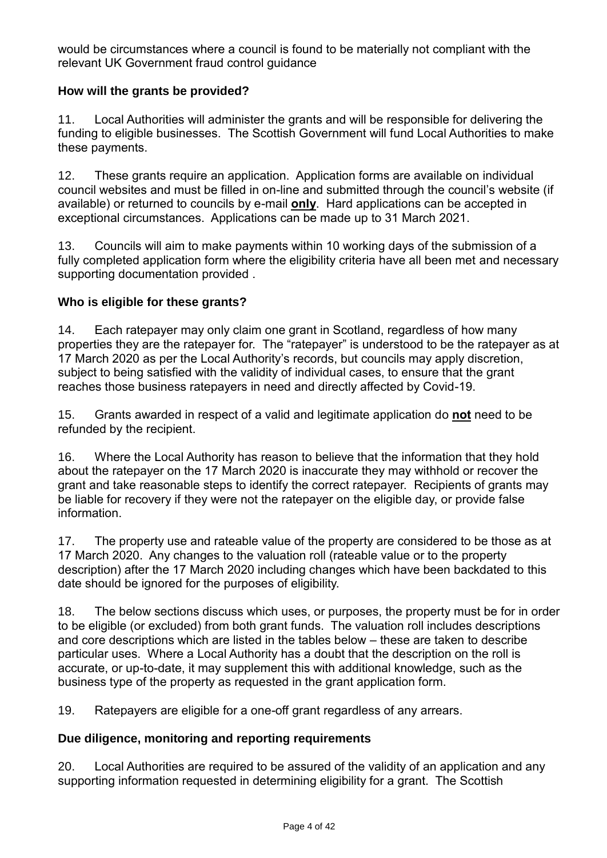would be circumstances where a council is found to be materially not compliant with the relevant UK Government fraud control guidance

### **How will the grants be provided?**

11. Local Authorities will administer the grants and will be responsible for delivering the funding to eligible businesses. The Scottish Government will fund Local Authorities to make these payments.

12. These grants require an application. Application forms are available on individual council websites and must be filled in on-line and submitted through the council's website (if available) or returned to councils by e-mail **only**. Hard applications can be accepted in exceptional circumstances. Applications can be made up to 31 March 2021.

13. Councils will aim to make payments within 10 working days of the submission of a fully completed application form where the eligibility criteria have all been met and necessary supporting documentation provided .

#### **Who is eligible for these grants?**

14. Each ratepayer may only claim one grant in Scotland, regardless of how many properties they are the ratepayer for. The "ratepayer" is understood to be the ratepayer as at 17 March 2020 as per the Local Authority's records, but councils may apply discretion, subject to being satisfied with the validity of individual cases, to ensure that the grant reaches those business ratepayers in need and directly affected by Covid-19.

15. Grants awarded in respect of a valid and legitimate application do **not** need to be refunded by the recipient.

16. Where the Local Authority has reason to believe that the information that they hold about the ratepayer on the 17 March 2020 is inaccurate they may withhold or recover the grant and take reasonable steps to identify the correct ratepayer. Recipients of grants may be liable for recovery if they were not the ratepayer on the eligible day, or provide false information.

17. The property use and rateable value of the property are considered to be those as at 17 March 2020. Any changes to the valuation roll (rateable value or to the property description) after the 17 March 2020 including changes which have been backdated to this date should be ignored for the purposes of eligibility.

18. The below sections discuss which uses, or purposes, the property must be for in order to be eligible (or excluded) from both grant funds. The valuation roll includes descriptions and core descriptions which are listed in the tables below – these are taken to describe particular uses. Where a Local Authority has a doubt that the description on the roll is accurate, or up-to-date, it may supplement this with additional knowledge, such as the business type of the property as requested in the grant application form.

19. Ratepayers are eligible for a one-off grant regardless of any arrears.

#### **Due diligence, monitoring and reporting requirements**

20. Local Authorities are required to be assured of the validity of an application and any supporting information requested in determining eligibility for a grant. The Scottish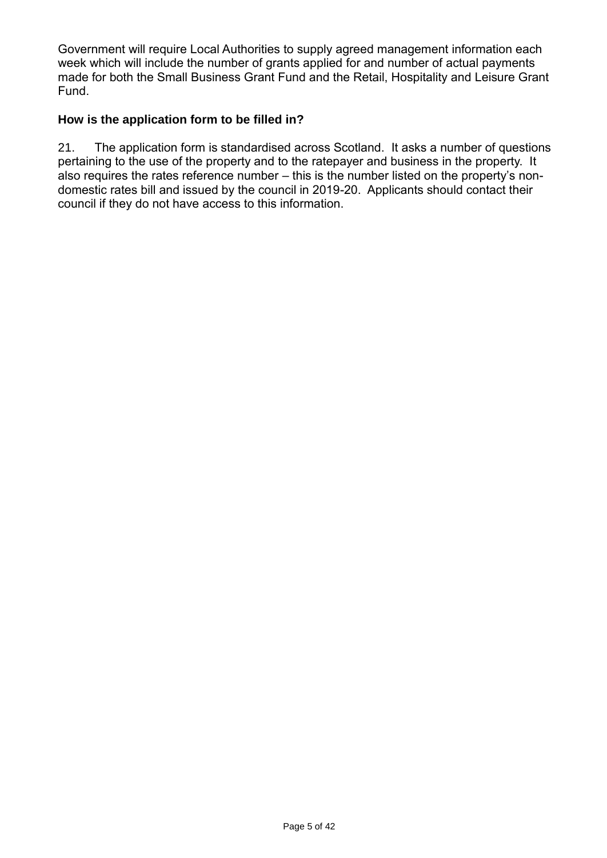Government will require Local Authorities to supply agreed management information each week which will include the number of grants applied for and number of actual payments made for both the Small Business Grant Fund and the Retail, Hospitality and Leisure Grant Fund.

#### **How is the application form to be filled in?**

21. The application form is standardised across Scotland. It asks a number of questions pertaining to the use of the property and to the ratepayer and business in the property. It also requires the rates reference number – this is the number listed on the property's nondomestic rates bill and issued by the council in 2019-20. Applicants should contact their council if they do not have access to this information.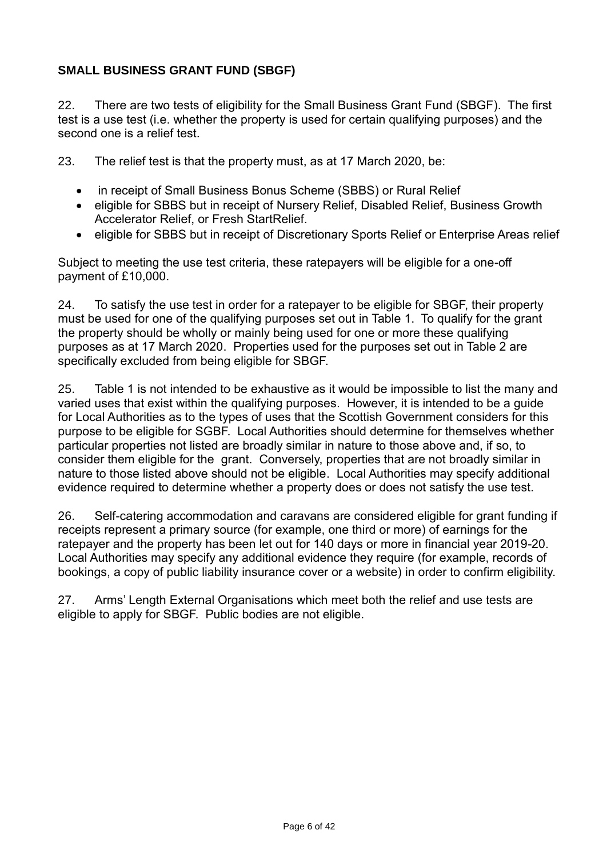### **SMALL BUSINESS GRANT FUND (SBGF)**

22. There are two tests of eligibility for the Small Business Grant Fund (SBGF). The first test is a use test (i.e. whether the property is used for certain qualifying purposes) and the second one is a relief test.

23. The relief test is that the property must, as at 17 March 2020, be:

- in receipt of Small Business Bonus Scheme (SBBS) or Rural Relief
- eligible for SBBS but in receipt of Nursery Relief, Disabled Relief, Business Growth Accelerator Relief, or Fresh StartRelief.
- eligible for SBBS but in receipt of Discretionary Sports Relief or Enterprise Areas relief

Subject to meeting the use test criteria, these ratepayers will be eligible for a one-off payment of £10,000.

24. To satisfy the use test in order for a ratepayer to be eligible for SBGF, their property must be used for one of the qualifying purposes set out in Table 1. To qualify for the grant the property should be wholly or mainly being used for one or more these qualifying purposes as at 17 March 2020. Properties used for the purposes set out in Table 2 are specifically excluded from being eligible for SBGF.

25. Table 1 is not intended to be exhaustive as it would be impossible to list the many and varied uses that exist within the qualifying purposes. However, it is intended to be a guide for Local Authorities as to the types of uses that the Scottish Government considers for this purpose to be eligible for SGBF. Local Authorities should determine for themselves whether particular properties not listed are broadly similar in nature to those above and, if so, to consider them eligible for the grant. Conversely, properties that are not broadly similar in nature to those listed above should not be eligible. Local Authorities may specify additional evidence required to determine whether a property does or does not satisfy the use test.

26. Self-catering accommodation and caravans are considered eligible for grant funding if receipts represent a primary source (for example, one third or more) of earnings for the ratepayer and the property has been let out for 140 days or more in financial year 2019-20. Local Authorities may specify any additional evidence they require (for example, records of bookings, a copy of public liability insurance cover or a website) in order to confirm eligibility.

27. Arms' Length External Organisations which meet both the relief and use tests are eligible to apply for SBGF. Public bodies are not eligible.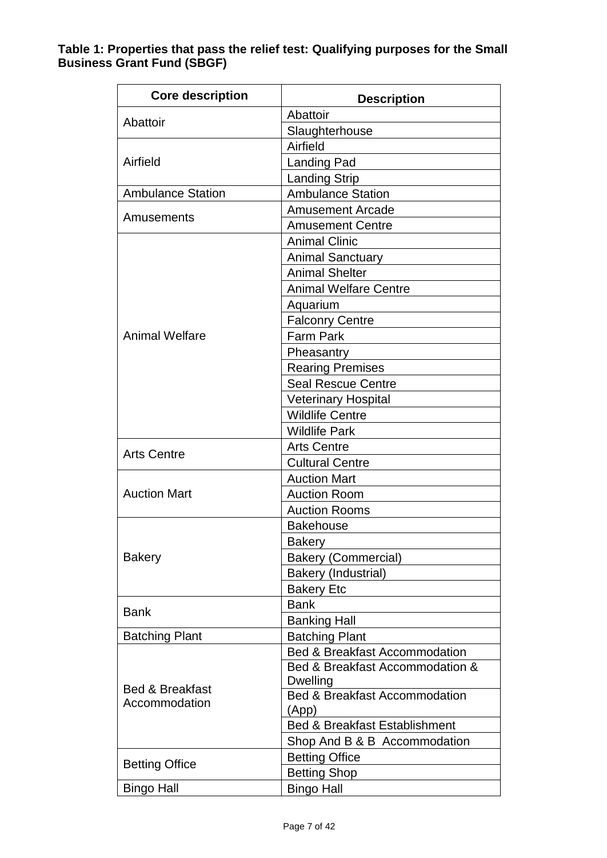#### **Table 1: Properties that pass the relief test: Qualifying purposes for the Small Business Grant Fund (SBGF)**

| <b>Core description</b>                     | <b>Description</b>                       |
|---------------------------------------------|------------------------------------------|
| Abattoir                                    | Abattoir                                 |
|                                             | Slaughterhouse                           |
|                                             | Airfield                                 |
| Airfield                                    | <b>Landing Pad</b>                       |
|                                             | <b>Landing Strip</b>                     |
| <b>Ambulance Station</b>                    | <b>Ambulance Station</b>                 |
|                                             | <b>Amusement Arcade</b>                  |
| Amusements                                  | <b>Amusement Centre</b>                  |
|                                             | <b>Animal Clinic</b>                     |
|                                             | <b>Animal Sanctuary</b>                  |
|                                             | <b>Animal Shelter</b>                    |
|                                             | <b>Animal Welfare Centre</b>             |
|                                             | Aquarium                                 |
|                                             | <b>Falconry Centre</b>                   |
| <b>Animal Welfare</b>                       | <b>Farm Park</b>                         |
|                                             | Pheasantry                               |
|                                             | <b>Rearing Premises</b>                  |
|                                             | <b>Seal Rescue Centre</b>                |
|                                             | <b>Veterinary Hospital</b>               |
|                                             | <b>Wildlife Centre</b>                   |
|                                             | <b>Wildlife Park</b>                     |
| <b>Arts Centre</b>                          | <b>Arts Centre</b>                       |
|                                             | <b>Cultural Centre</b>                   |
|                                             | <b>Auction Mart</b>                      |
| <b>Auction Mart</b>                         | <b>Auction Room</b>                      |
|                                             | <b>Auction Rooms</b>                     |
|                                             | <b>Bakehouse</b>                         |
|                                             | Bakery                                   |
| <b>Bakery</b>                               | <b>Bakery (Commercial)</b>               |
|                                             | <b>Bakery (Industrial)</b>               |
|                                             | <b>Bakery Etc</b>                        |
| <b>Bank</b>                                 | <b>Bank</b>                              |
|                                             | <b>Banking Hall</b>                      |
| <b>Batching Plant</b>                       | <b>Batching Plant</b>                    |
| <b>Bed &amp; Breakfast</b><br>Accommodation | <b>Bed &amp; Breakfast Accommodation</b> |
|                                             | Bed & Breakfast Accommodation &          |
|                                             | Dwelling                                 |
|                                             | Bed & Breakfast Accommodation            |
|                                             | (App)                                    |
|                                             | <b>Bed &amp; Breakfast Establishment</b> |
|                                             | Shop And B & B Accommodation             |
| <b>Betting Office</b>                       | <b>Betting Office</b>                    |
|                                             | <b>Betting Shop</b>                      |
| <b>Bingo Hall</b>                           | <b>Bingo Hall</b>                        |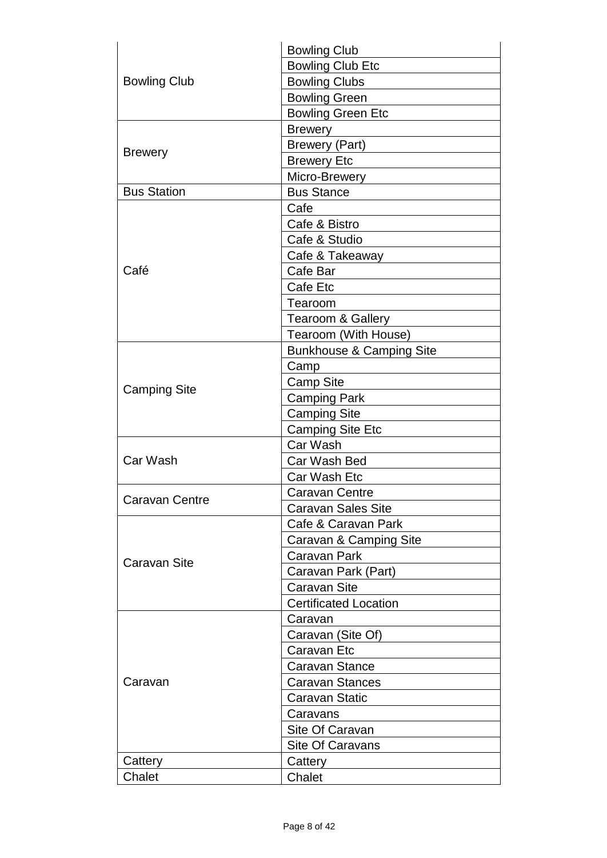| <b>Bowling Club</b> | <b>Bowling Club</b>                 |
|---------------------|-------------------------------------|
|                     | <b>Bowling Club Etc</b>             |
|                     | <b>Bowling Clubs</b>                |
|                     | <b>Bowling Green</b>                |
|                     | <b>Bowling Green Etc</b>            |
|                     | <b>Brewery</b>                      |
|                     | <b>Brewery (Part)</b>               |
| <b>Brewery</b>      | <b>Brewery Etc</b>                  |
|                     | Micro-Brewery                       |
| <b>Bus Station</b>  | <b>Bus Stance</b>                   |
|                     | Cafe                                |
|                     | Cafe & Bistro                       |
|                     | Cafe & Studio                       |
|                     | Cafe & Takeaway                     |
| Café                | Cafe Bar                            |
|                     | Cafe Etc                            |
|                     | Tearoom                             |
|                     | Tearoom & Gallery                   |
|                     | Tearoom (With House)                |
|                     | <b>Bunkhouse &amp; Camping Site</b> |
|                     | Camp                                |
|                     | <b>Camp Site</b>                    |
| <b>Camping Site</b> | <b>Camping Park</b>                 |
|                     | <b>Camping Site</b>                 |
|                     | <b>Camping Site Etc</b>             |
|                     | Car Wash                            |
| Car Wash            | Car Wash Bed                        |
|                     | Car Wash Etc                        |
|                     | Caravan Centre                      |
| Caravan Centre      | <b>Caravan Sales Site</b>           |
|                     | Cafe & Caravan Park                 |
|                     | Caravan & Camping Site              |
|                     | Caravan Park                        |
| Caravan Site        | Caravan Park (Part)                 |
|                     | <b>Caravan Site</b>                 |
|                     | <b>Certificated Location</b>        |
| Caravan             | Caravan                             |
|                     | Caravan (Site Of)                   |
|                     | Caravan Etc                         |
|                     | <b>Caravan Stance</b>               |
|                     | <b>Caravan Stances</b>              |
|                     | Caravan Static                      |
|                     | Caravans                            |
|                     | Site Of Caravan                     |
|                     | Site Of Caravans                    |
| Cattery             | Cattery                             |
| Chalet              | Chalet                              |
|                     |                                     |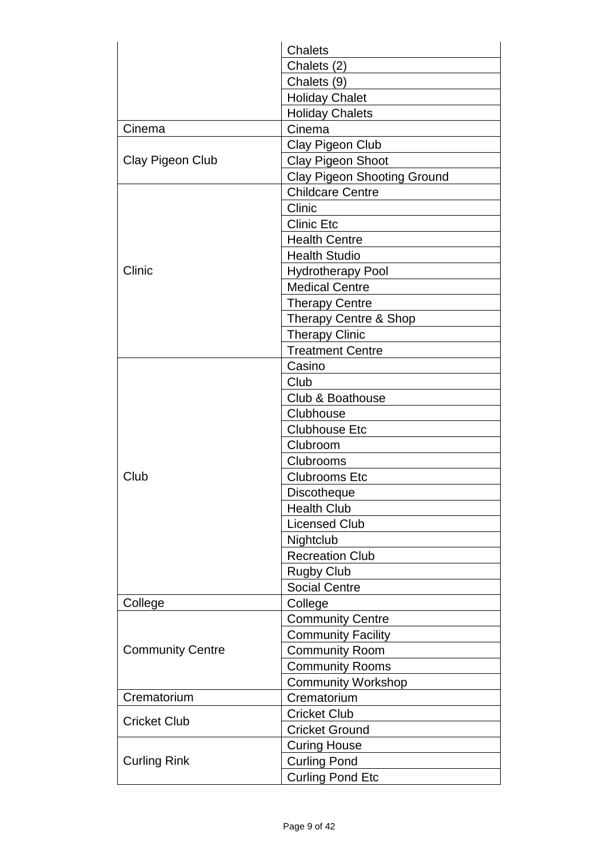|                         | <b>Chalets</b>                     |
|-------------------------|------------------------------------|
|                         | Chalets (2)                        |
|                         | Chalets (9)                        |
|                         | <b>Holiday Chalet</b>              |
|                         | <b>Holiday Chalets</b>             |
| Cinema                  | Cinema                             |
|                         | Clay Pigeon Club                   |
| Clay Pigeon Club        | <b>Clay Pigeon Shoot</b>           |
|                         | <b>Clay Pigeon Shooting Ground</b> |
|                         | <b>Childcare Centre</b>            |
|                         | Clinic                             |
|                         | <b>Clinic Etc</b>                  |
|                         | <b>Health Centre</b>               |
|                         | <b>Health Studio</b>               |
| Clinic                  | <b>Hydrotherapy Pool</b>           |
|                         | <b>Medical Centre</b>              |
|                         | <b>Therapy Centre</b>              |
|                         | Therapy Centre & Shop              |
|                         | <b>Therapy Clinic</b>              |
|                         | <b>Treatment Centre</b>            |
|                         | Casino                             |
|                         | Club                               |
|                         | Club & Boathouse                   |
|                         | Clubhouse                          |
|                         | <b>Clubhouse Etc</b>               |
|                         | Clubroom                           |
|                         | Clubrooms                          |
| Club                    | <b>Clubrooms Etc</b>               |
|                         | <b>Discotheque</b>                 |
|                         | <b>Health Club</b>                 |
|                         | <b>Licensed Club</b>               |
|                         | Nightclub                          |
|                         | <b>Recreation Club</b>             |
|                         | <b>Rugby Club</b>                  |
|                         | <b>Social Centre</b>               |
| College                 | College                            |
| <b>Community Centre</b> | <b>Community Centre</b>            |
|                         | <b>Community Facility</b>          |
|                         | <b>Community Room</b>              |
|                         | <b>Community Rooms</b>             |
|                         | <b>Community Workshop</b>          |
| Crematorium             | Crematorium                        |
| <b>Cricket Club</b>     | <b>Cricket Club</b>                |
|                         | <b>Cricket Ground</b>              |
|                         | <b>Curing House</b>                |
| <b>Curling Rink</b>     | <b>Curling Pond</b>                |
|                         | <b>Curling Pond Etc</b>            |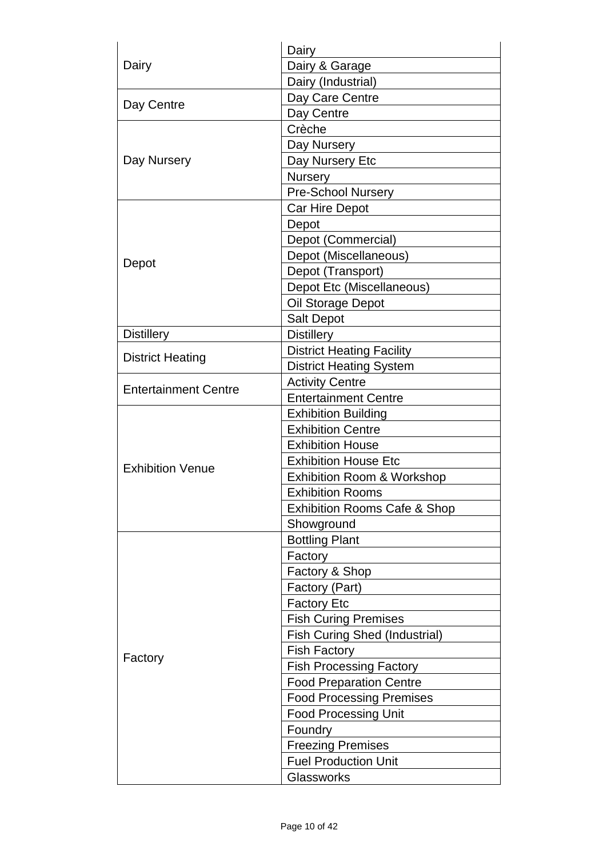| Dairy                       | Dairy                                   |
|-----------------------------|-----------------------------------------|
|                             | Dairy & Garage                          |
|                             | Dairy (Industrial)                      |
|                             | Day Care Centre                         |
| Day Centre                  | Day Centre                              |
|                             | Crèche                                  |
|                             | Day Nursery                             |
| Day Nursery                 | Day Nursery Etc                         |
|                             | <b>Nursery</b>                          |
|                             | <b>Pre-School Nursery</b>               |
|                             | Car Hire Depot                          |
|                             | Depot                                   |
|                             | Depot (Commercial)                      |
|                             | Depot (Miscellaneous)                   |
| Depot                       | Depot (Transport)                       |
|                             | Depot Etc (Miscellaneous)               |
|                             | Oil Storage Depot                       |
|                             | Salt Depot                              |
| <b>Distillery</b>           | <b>Distillery</b>                       |
|                             | <b>District Heating Facility</b>        |
| <b>District Heating</b>     | <b>District Heating System</b>          |
| <b>Entertainment Centre</b> | <b>Activity Centre</b>                  |
|                             | <b>Entertainment Centre</b>             |
|                             | <b>Exhibition Building</b>              |
|                             | <b>Exhibition Centre</b>                |
|                             | <b>Exhibition House</b>                 |
| <b>Exhibition Venue</b>     | <b>Exhibition House Etc</b>             |
|                             | <b>Exhibition Room &amp; Workshop</b>   |
|                             | <b>Exhibition Rooms</b>                 |
|                             | <b>Exhibition Rooms Cafe &amp; Shop</b> |
|                             | Showground                              |
|                             | <b>Bottling Plant</b>                   |
|                             | Factory                                 |
|                             | Factory & Shop                          |
|                             | Factory (Part)                          |
|                             | <b>Factory Etc</b>                      |
|                             | <b>Fish Curing Premises</b>             |
| Factory                     | <b>Fish Curing Shed (Industrial)</b>    |
|                             | <b>Fish Factory</b>                     |
|                             | <b>Fish Processing Factory</b>          |
|                             | <b>Food Preparation Centre</b>          |
|                             | <b>Food Processing Premises</b>         |
|                             | <b>Food Processing Unit</b>             |
|                             | Foundry                                 |
|                             | <b>Freezing Premises</b>                |
|                             | <b>Fuel Production Unit</b>             |
|                             | Glassworks                              |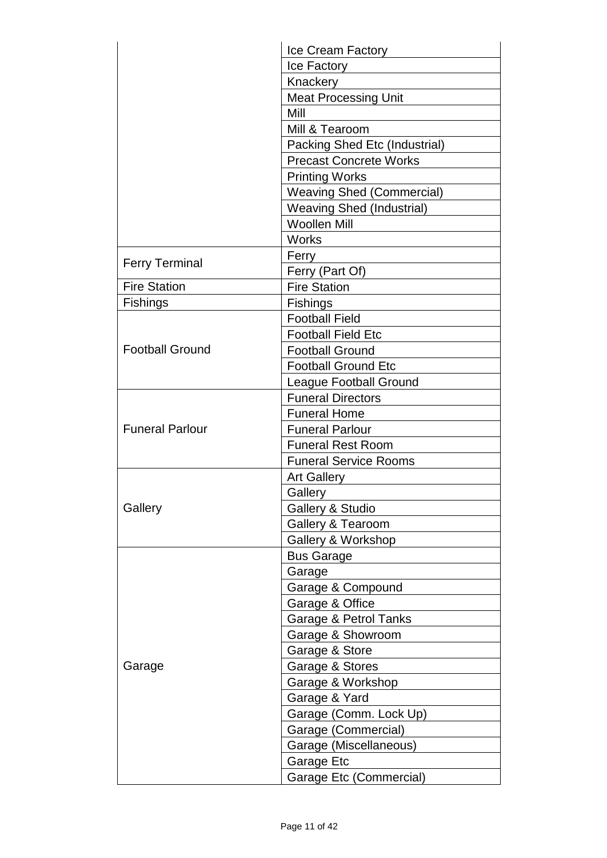|                        | Ice Cream Factory                |
|------------------------|----------------------------------|
|                        | Ice Factory                      |
|                        | Knackery                         |
|                        | <b>Meat Processing Unit</b>      |
|                        | Mill                             |
|                        | Mill & Tearoom                   |
|                        | Packing Shed Etc (Industrial)    |
|                        | <b>Precast Concrete Works</b>    |
|                        | <b>Printing Works</b>            |
|                        | <b>Weaving Shed (Commercial)</b> |
|                        | <b>Weaving Shed (Industrial)</b> |
|                        | <b>Woollen Mill</b>              |
|                        | <b>Works</b>                     |
|                        | Ferry                            |
| <b>Ferry Terminal</b>  | Ferry (Part Of)                  |
| <b>Fire Station</b>    | <b>Fire Station</b>              |
| <b>Fishings</b>        | <b>Fishings</b>                  |
|                        | <b>Football Field</b>            |
|                        | <b>Football Field Etc</b>        |
| <b>Football Ground</b> | <b>Football Ground</b>           |
|                        | <b>Football Ground Etc</b>       |
|                        | <b>League Football Ground</b>    |
|                        | <b>Funeral Directors</b>         |
|                        | <b>Funeral Home</b>              |
| <b>Funeral Parlour</b> | <b>Funeral Parlour</b>           |
|                        | <b>Funeral Rest Room</b>         |
|                        | <b>Funeral Service Rooms</b>     |
|                        | <b>Art Gallery</b>               |
|                        | Gallery                          |
| Gallery                | <b>Gallery &amp; Studio</b>      |
|                        | <b>Gallery &amp; Tearoom</b>     |
|                        | Gallery & Workshop               |
|                        | <b>Bus Garage</b>                |
| Garage                 | Garage                           |
|                        | Garage & Compound                |
|                        | Garage & Office                  |
|                        | Garage & Petrol Tanks            |
|                        | Garage & Showroom                |
|                        | Garage & Store                   |
|                        | Garage & Stores                  |
|                        | Garage & Workshop                |
|                        | Garage & Yard                    |
|                        | Garage (Comm. Lock Up)           |
|                        | Garage (Commercial)              |
|                        | Garage (Miscellaneous)           |
|                        | Garage Etc                       |
|                        | <b>Garage Etc (Commercial)</b>   |
|                        |                                  |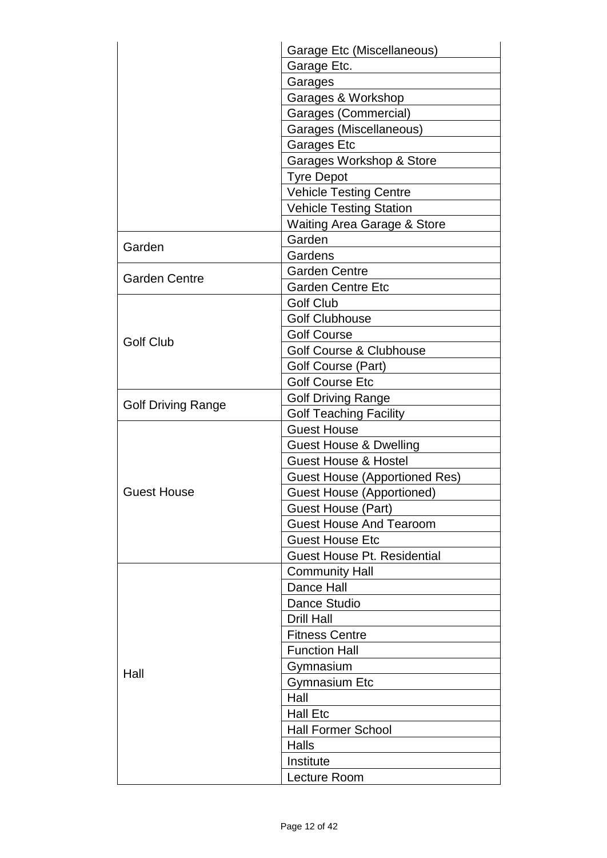|                           | Garage Etc (Miscellaneous)             |
|---------------------------|----------------------------------------|
|                           | Garage Etc.                            |
|                           | Garages                                |
|                           | Garages & Workshop                     |
|                           | Garages (Commercial)                   |
|                           | Garages (Miscellaneous)                |
|                           | <b>Garages Etc</b>                     |
|                           | Garages Workshop & Store               |
|                           | <b>Tyre Depot</b>                      |
|                           | <b>Vehicle Testing Centre</b>          |
|                           | <b>Vehicle Testing Station</b>         |
|                           | <b>Waiting Area Garage &amp; Store</b> |
|                           | Garden                                 |
| Garden                    | Gardens                                |
|                           | <b>Garden Centre</b>                   |
| <b>Garden Centre</b>      | <b>Garden Centre Etc</b>               |
|                           | <b>Golf Club</b>                       |
|                           | <b>Golf Clubhouse</b>                  |
|                           | <b>Golf Course</b>                     |
| <b>Golf Club</b>          | <b>Golf Course &amp; Clubhouse</b>     |
|                           | Golf Course (Part)                     |
|                           | <b>Golf Course Etc</b>                 |
|                           | <b>Golf Driving Range</b>              |
| <b>Golf Driving Range</b> | <b>Golf Teaching Facility</b>          |
|                           | <b>Guest House</b>                     |
|                           | <b>Guest House &amp; Dwelling</b>      |
|                           | <b>Guest House &amp; Hostel</b>        |
|                           | <b>Guest House (Apportioned Res)</b>   |
| <b>Guest House</b>        | <b>Guest House (Apportioned)</b>       |
|                           | Guest House (Part)                     |
|                           | <b>Guest House And Tearoom</b>         |
|                           | <b>Guest House Etc</b>                 |
|                           | <b>Guest House Pt. Residential</b>     |
|                           | <b>Community Hall</b>                  |
| Hall                      | Dance Hall                             |
|                           | Dance Studio                           |
|                           | <b>Drill Hall</b>                      |
|                           | <b>Fitness Centre</b>                  |
|                           | <b>Function Hall</b>                   |
|                           |                                        |
|                           | Gymnasium<br><b>Gymnasium Etc</b>      |
|                           | Hall                                   |
|                           |                                        |
|                           | <b>Hall Etc</b>                        |
|                           | <b>Hall Former School</b>              |
|                           | Halls                                  |
|                           | Institute                              |
|                           | Lecture Room                           |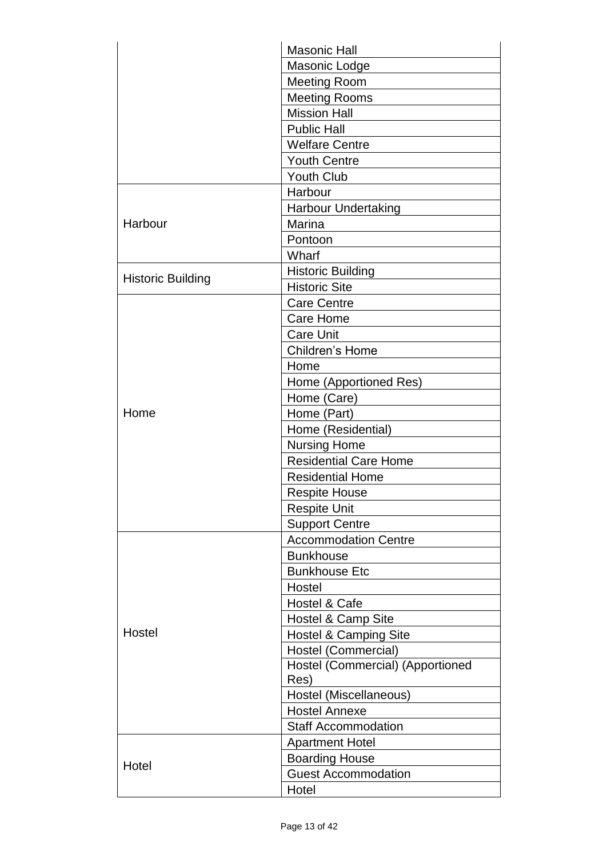|                          | <b>Masonic Hall</b>              |
|--------------------------|----------------------------------|
|                          | Masonic Lodge                    |
|                          | <b>Meeting Room</b>              |
|                          | <b>Meeting Rooms</b>             |
|                          | <b>Mission Hall</b>              |
|                          | <b>Public Hall</b>               |
|                          | <b>Welfare Centre</b>            |
|                          | <b>Youth Centre</b>              |
|                          | <b>Youth Club</b>                |
|                          | Harbour                          |
|                          | <b>Harbour Undertaking</b>       |
| Harbour                  | Marina                           |
|                          | Pontoon                          |
|                          | Wharf                            |
|                          | <b>Historic Building</b>         |
| <b>Historic Building</b> | <b>Historic Site</b>             |
|                          | <b>Care Centre</b>               |
|                          | <b>Care Home</b>                 |
|                          | <b>Care Unit</b>                 |
|                          | Children's Home                  |
|                          | Home                             |
|                          | Home (Apportioned Res)           |
|                          | Home (Care)                      |
| Home                     | Home (Part)                      |
|                          | Home (Residential)               |
|                          | <b>Nursing Home</b>              |
|                          | <b>Residential Care Home</b>     |
|                          | <b>Residential Home</b>          |
|                          | <b>Respite House</b>             |
|                          | <b>Respite Unit</b>              |
|                          | <b>Support Centre</b>            |
|                          | <b>Accommodation Centre</b>      |
| Hostel                   | <b>Bunkhouse</b>                 |
|                          | <b>Bunkhouse Etc</b>             |
|                          | Hostel                           |
|                          | Hostel & Cafe                    |
|                          | Hostel & Camp Site               |
|                          | <b>Hostel &amp; Camping Site</b> |
|                          | Hostel (Commercial)              |
|                          | Hostel (Commercial) (Apportioned |
|                          | Res)                             |
|                          | Hostel (Miscellaneous)           |
|                          | <b>Hostel Annexe</b>             |
|                          | <b>Staff Accommodation</b>       |
|                          | <b>Apartment Hotel</b>           |
| Hotel                    | <b>Boarding House</b>            |
|                          | <b>Guest Accommodation</b>       |
|                          | Hotel                            |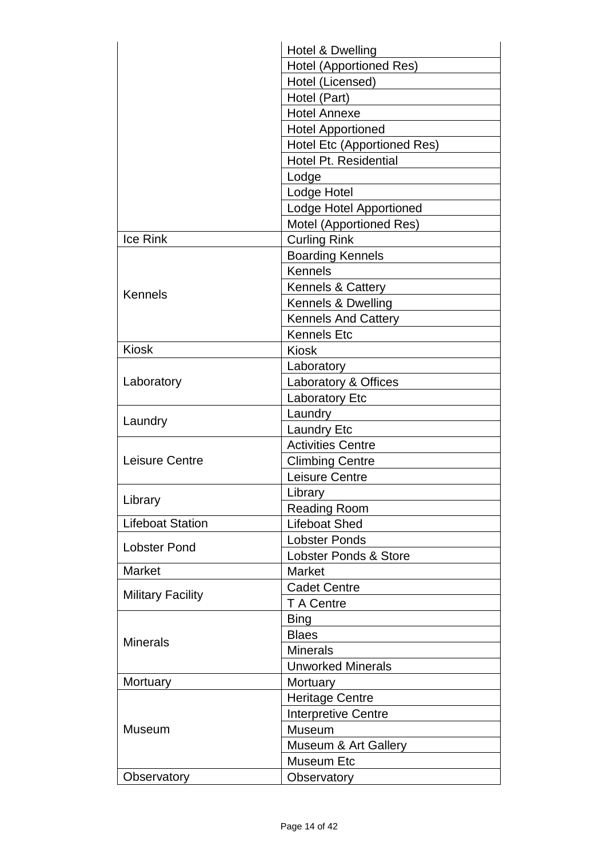|                          | Hotel & Dwelling                   |
|--------------------------|------------------------------------|
|                          | <b>Hotel (Apportioned Res)</b>     |
|                          | Hotel (Licensed)                   |
|                          | Hotel (Part)                       |
|                          | <b>Hotel Annexe</b>                |
|                          | <b>Hotel Apportioned</b>           |
|                          | <b>Hotel Etc (Apportioned Res)</b> |
|                          | Hotel Pt. Residential              |
|                          | Lodge                              |
|                          | Lodge Hotel                        |
|                          | Lodge Hotel Apportioned            |
|                          | Motel (Apportioned Res)            |
| <b>Ice Rink</b>          | <b>Curling Rink</b>                |
|                          | <b>Boarding Kennels</b>            |
|                          | <b>Kennels</b>                     |
|                          | <b>Kennels &amp; Cattery</b>       |
| Kennels                  | Kennels & Dwelling                 |
|                          | <b>Kennels And Cattery</b>         |
|                          | <b>Kennels Etc</b>                 |
| <b>Kiosk</b>             | <b>Kiosk</b>                       |
|                          | Laboratory                         |
| Laboratory               | Laboratory & Offices               |
|                          | <b>Laboratory Etc</b>              |
|                          | Laundry                            |
| Laundry                  | <b>Laundry Etc</b>                 |
|                          | <b>Activities Centre</b>           |
| <b>Leisure Centre</b>    | <b>Climbing Centre</b>             |
|                          | <b>Leisure Centre</b>              |
|                          | Library                            |
| Library                  | <b>Reading Room</b>                |
| <b>Lifeboat Station</b>  | <b>Lifeboat Shed</b>               |
|                          | <b>Lobster Ponds</b>               |
| <b>Lobster Pond</b>      | <b>Lobster Ponds &amp; Store</b>   |
| <b>Market</b>            | <b>Market</b>                      |
|                          | <b>Cadet Centre</b>                |
| <b>Military Facility</b> | T A Centre                         |
| <b>Minerals</b>          | <b>Bing</b>                        |
|                          | <b>Blaes</b>                       |
|                          | <b>Minerals</b>                    |
|                          | <b>Unworked Minerals</b>           |
| Mortuary                 | Mortuary                           |
|                          | <b>Heritage Centre</b>             |
|                          | <b>Interpretive Centre</b>         |
| <b>Museum</b>            | Museum                             |
|                          | Museum & Art Gallery               |
|                          | <b>Museum Etc</b>                  |
| Observatory              | Observatory                        |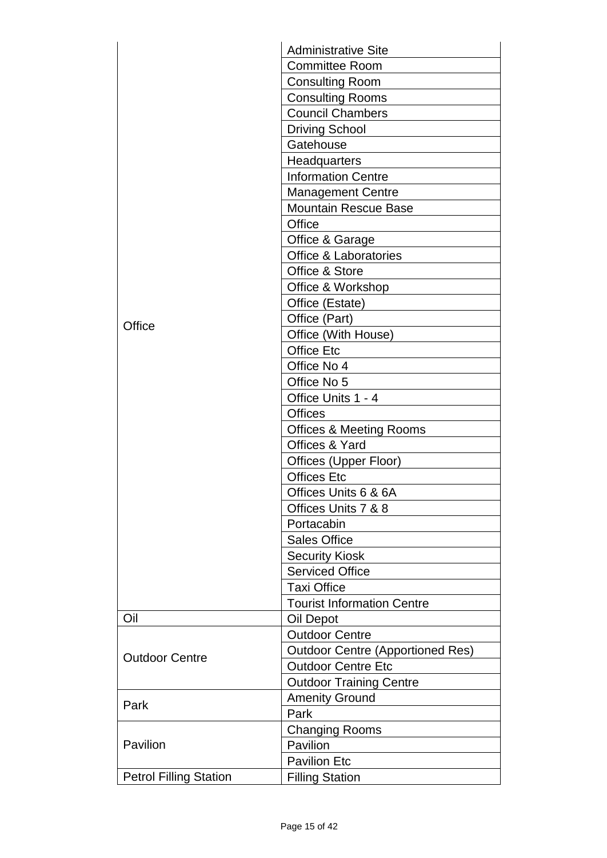|                               | <b>Administrative Site</b>              |
|-------------------------------|-----------------------------------------|
|                               | <b>Committee Room</b>                   |
|                               | <b>Consulting Room</b>                  |
|                               | <b>Consulting Rooms</b>                 |
|                               | <b>Council Chambers</b>                 |
|                               | <b>Driving School</b>                   |
|                               | Gatehouse                               |
|                               | Headquarters                            |
|                               | <b>Information Centre</b>               |
|                               | <b>Management Centre</b>                |
|                               | <b>Mountain Rescue Base</b>             |
|                               | Office                                  |
|                               | Office & Garage                         |
|                               | <b>Office &amp; Laboratories</b>        |
|                               | Office & Store                          |
|                               | Office & Workshop                       |
|                               | Office (Estate)                         |
|                               | Office (Part)                           |
| Office                        | Office (With House)                     |
|                               | <b>Office Etc</b>                       |
|                               | Office No 4                             |
|                               | Office No 5                             |
|                               | Office Units 1 - 4                      |
|                               | <b>Offices</b>                          |
|                               | <b>Offices &amp; Meeting Rooms</b>      |
|                               | Offices & Yard                          |
|                               | Offices (Upper Floor)                   |
|                               | <b>Offices Etc</b>                      |
|                               | Offices Units 6 & 6A                    |
|                               | Offices Units 7 & 8                     |
|                               | Portacabin                              |
|                               | <b>Sales Office</b>                     |
|                               | <b>Security Kiosk</b>                   |
|                               | <b>Serviced Office</b>                  |
|                               | <b>Taxi Office</b>                      |
|                               | <b>Tourist Information Centre</b>       |
| Oil                           | Oil Depot                               |
| <b>Outdoor Centre</b>         | <b>Outdoor Centre</b>                   |
|                               | <b>Outdoor Centre (Apportioned Res)</b> |
|                               | <b>Outdoor Centre Etc</b>               |
|                               | <b>Outdoor Training Centre</b>          |
|                               | <b>Amenity Ground</b>                   |
| Park                          | Park                                    |
|                               | <b>Changing Rooms</b>                   |
| Pavilion                      | Pavilion                                |
|                               | <b>Pavilion Etc</b>                     |
| <b>Petrol Filling Station</b> | <b>Filling Station</b>                  |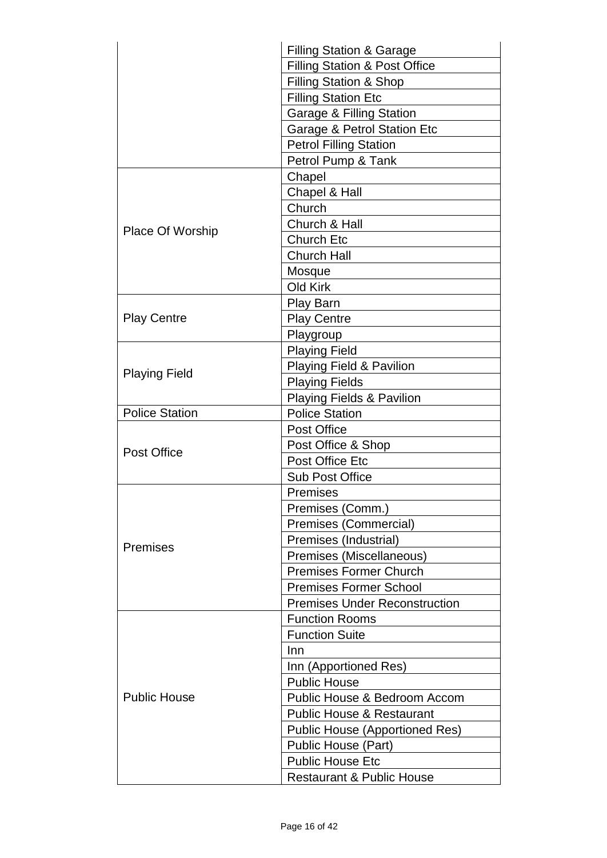|                         | <b>Filling Station &amp; Garage</b>      |
|-------------------------|------------------------------------------|
|                         | <b>Filling Station &amp; Post Office</b> |
|                         | Filling Station & Shop                   |
|                         | <b>Filling Station Etc</b>               |
|                         | <b>Garage &amp; Filling Station</b>      |
|                         | Garage & Petrol Station Etc              |
|                         | <b>Petrol Filling Station</b>            |
|                         | Petrol Pump & Tank                       |
|                         | Chapel                                   |
|                         | Chapel & Hall                            |
|                         | Church                                   |
|                         | Church & Hall                            |
| <b>Place Of Worship</b> | <b>Church Etc</b>                        |
|                         | <b>Church Hall</b>                       |
|                         | Mosque                                   |
|                         | Old Kirk                                 |
|                         | Play Barn                                |
| <b>Play Centre</b>      | <b>Play Centre</b>                       |
|                         | Playgroup                                |
|                         | <b>Playing Field</b>                     |
|                         | <b>Playing Field &amp; Pavilion</b>      |
| <b>Playing Field</b>    | <b>Playing Fields</b>                    |
|                         | <b>Playing Fields &amp; Pavilion</b>     |
| <b>Police Station</b>   | <b>Police Station</b>                    |
|                         | <b>Post Office</b>                       |
| <b>Post Office</b>      | Post Office & Shop                       |
|                         | Post Office Etc                          |
|                         | <b>Sub Post Office</b>                   |
|                         | <b>Premises</b>                          |
|                         | Premises (Comm.)                         |
|                         | Premises (Commercial)                    |
| Premises                | Premises (Industrial)                    |
|                         | Premises (Miscellaneous)                 |
|                         | <b>Premises Former Church</b>            |
|                         | <b>Premises Former School</b>            |
|                         | <b>Premises Under Reconstruction</b>     |
| <b>Public House</b>     | <b>Function Rooms</b>                    |
|                         | <b>Function Suite</b>                    |
|                         | Inn                                      |
|                         | Inn (Apportioned Res)                    |
|                         | <b>Public House</b>                      |
|                         | Public House & Bedroom Accom             |
|                         | <b>Public House &amp; Restaurant</b>     |
|                         | <b>Public House (Apportioned Res)</b>    |
|                         | Public House (Part)                      |
|                         | <b>Public House Etc</b>                  |
|                         | <b>Restaurant &amp; Public House</b>     |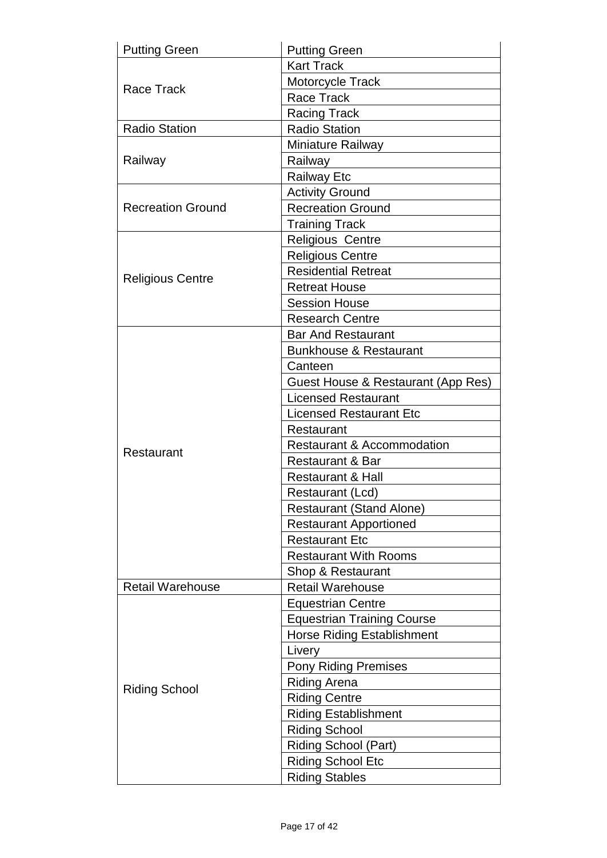| <b>Putting Green</b>     | <b>Putting Green</b>                  |
|--------------------------|---------------------------------------|
| <b>Race Track</b>        | <b>Kart Track</b>                     |
|                          | Motorcycle Track                      |
|                          | Race Track                            |
|                          | <b>Racing Track</b>                   |
| <b>Radio Station</b>     | <b>Radio Station</b>                  |
|                          | Miniature Railway                     |
| Railway                  | Railway                               |
|                          | <b>Railway Etc</b>                    |
|                          | <b>Activity Ground</b>                |
| <b>Recreation Ground</b> | <b>Recreation Ground</b>              |
|                          | <b>Training Track</b>                 |
|                          | <b>Religious Centre</b>               |
|                          | <b>Religious Centre</b>               |
| <b>Religious Centre</b>  | <b>Residential Retreat</b>            |
|                          | <b>Retreat House</b>                  |
|                          | <b>Session House</b>                  |
|                          | <b>Research Centre</b>                |
|                          | <b>Bar And Restaurant</b>             |
|                          | <b>Bunkhouse &amp; Restaurant</b>     |
|                          | Canteen                               |
|                          | Guest House & Restaurant (App Res)    |
|                          | <b>Licensed Restaurant</b>            |
|                          | <b>Licensed Restaurant Etc</b>        |
|                          | Restaurant                            |
| Restaurant               | <b>Restaurant &amp; Accommodation</b> |
|                          | <b>Restaurant &amp; Bar</b>           |
|                          | <b>Restaurant &amp; Hall</b>          |
|                          | Restaurant (Lcd)                      |
|                          | <b>Restaurant (Stand Alone)</b>       |
|                          | <b>Restaurant Apportioned</b>         |
|                          | <b>Restaurant Etc</b>                 |
|                          | <b>Restaurant With Rooms</b>          |
|                          | Shop & Restaurant                     |
| <b>Retail Warehouse</b>  | <b>Retail Warehouse</b>               |
| <b>Riding School</b>     | <b>Equestrian Centre</b>              |
|                          | <b>Equestrian Training Course</b>     |
|                          | <b>Horse Riding Establishment</b>     |
|                          | Livery                                |
|                          | <b>Pony Riding Premises</b>           |
|                          | <b>Riding Arena</b>                   |
|                          | <b>Riding Centre</b>                  |
|                          | <b>Riding Establishment</b>           |
|                          | <b>Riding School</b>                  |
|                          | Riding School (Part)                  |
|                          | <b>Riding School Etc</b>              |
|                          | <b>Riding Stables</b>                 |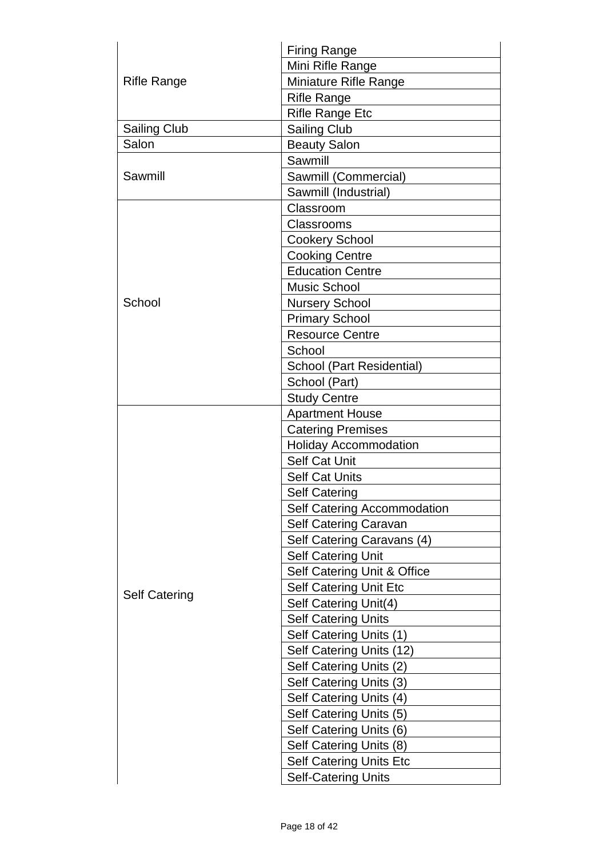| <b>Rifle Range</b>   | <b>Firing Range</b>            |  |
|----------------------|--------------------------------|--|
|                      | Mini Rifle Range               |  |
|                      | Miniature Rifle Range          |  |
|                      | <b>Rifle Range</b>             |  |
|                      | <b>Rifle Range Etc</b>         |  |
| <b>Sailing Club</b>  | <b>Sailing Club</b>            |  |
| Salon                | <b>Beauty Salon</b>            |  |
|                      | Sawmill                        |  |
| Sawmill              | Sawmill (Commercial)           |  |
|                      | Sawmill (Industrial)           |  |
|                      | Classroom                      |  |
|                      | Classrooms                     |  |
|                      | <b>Cookery School</b>          |  |
|                      | <b>Cooking Centre</b>          |  |
|                      | <b>Education Centre</b>        |  |
|                      | <b>Music School</b>            |  |
| School               | <b>Nursery School</b>          |  |
|                      | <b>Primary School</b>          |  |
|                      | <b>Resource Centre</b>         |  |
|                      | School                         |  |
|                      | School (Part Residential)      |  |
|                      | School (Part)                  |  |
|                      | <b>Study Centre</b>            |  |
|                      | <b>Apartment House</b>         |  |
|                      | <b>Catering Premises</b>       |  |
|                      | <b>Holiday Accommodation</b>   |  |
|                      | <b>Self Cat Unit</b>           |  |
|                      | <b>Self Cat Units</b>          |  |
|                      | <b>Self Catering</b>           |  |
|                      | Self Catering Accommodation    |  |
|                      | Self Catering Caravan          |  |
|                      | Self Catering Caravans (4)     |  |
|                      | <b>Self Catering Unit</b>      |  |
|                      | Self Catering Unit & Office    |  |
| <b>Self Catering</b> | <b>Self Catering Unit Etc</b>  |  |
|                      | Self Catering Unit(4)          |  |
|                      | <b>Self Catering Units</b>     |  |
|                      | Self Catering Units (1)        |  |
|                      | Self Catering Units (12)       |  |
|                      | Self Catering Units (2)        |  |
|                      | Self Catering Units (3)        |  |
|                      | Self Catering Units (4)        |  |
|                      | Self Catering Units (5)        |  |
|                      | Self Catering Units (6)        |  |
|                      | Self Catering Units (8)        |  |
|                      | <b>Self Catering Units Etc</b> |  |
|                      | <b>Self-Catering Units</b>     |  |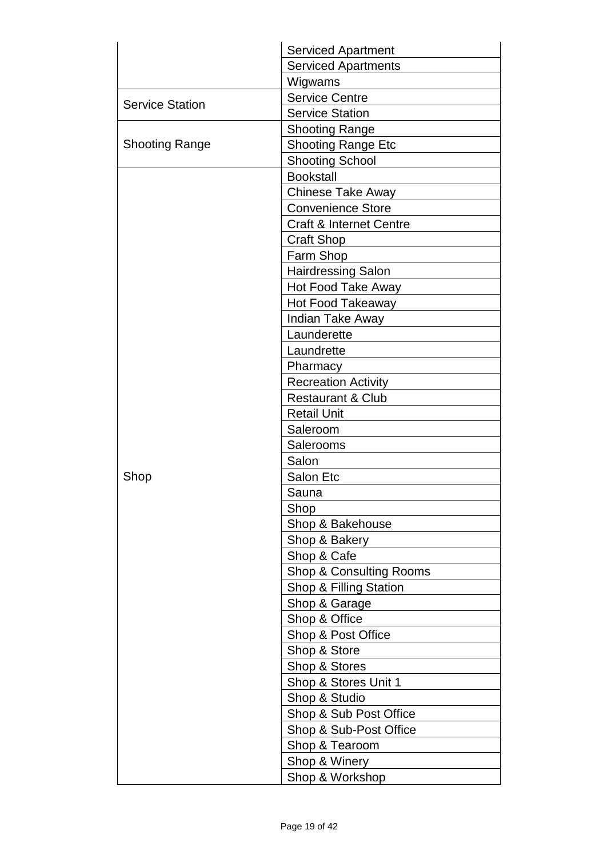|                        | <b>Serviced Apartment</b>          |
|------------------------|------------------------------------|
|                        | <b>Serviced Apartments</b>         |
|                        | Wigwams                            |
| <b>Service Station</b> | <b>Service Centre</b>              |
|                        | <b>Service Station</b>             |
|                        | <b>Shooting Range</b>              |
| <b>Shooting Range</b>  | <b>Shooting Range Etc</b>          |
|                        | <b>Shooting School</b>             |
|                        | <b>Bookstall</b>                   |
|                        | Chinese Take Away                  |
|                        | <b>Convenience Store</b>           |
|                        | <b>Craft &amp; Internet Centre</b> |
|                        | <b>Craft Shop</b>                  |
|                        | Farm Shop                          |
|                        | <b>Hairdressing Salon</b>          |
|                        | Hot Food Take Away                 |
|                        | <b>Hot Food Takeaway</b>           |
|                        | Indian Take Away                   |
|                        | Launderette                        |
|                        | Laundrette                         |
|                        | Pharmacy                           |
|                        | <b>Recreation Activity</b>         |
|                        | <b>Restaurant &amp; Club</b>       |
|                        | <b>Retail Unit</b>                 |
|                        | Saleroom                           |
|                        | Salerooms                          |
|                        | Salon                              |
| Shop                   | Salon Etc                          |
|                        | Sauna                              |
|                        | Shop                               |
|                        | Shop & Bakehouse                   |
|                        | Shop & Bakery                      |
|                        | Shop & Cafe                        |
|                        | Shop & Consulting Rooms            |
|                        | Shop & Filling Station             |
|                        | Shop & Garage                      |
|                        | Shop & Office                      |
|                        | Shop & Post Office                 |
|                        | Shop & Store                       |
|                        | Shop & Stores                      |
|                        | Shop & Stores Unit 1               |
|                        | Shop & Studio                      |
|                        | Shop & Sub Post Office             |
|                        | Shop & Sub-Post Office             |
|                        | Shop & Tearoom                     |
|                        | Shop & Winery                      |
|                        |                                    |
|                        | Shop & Workshop                    |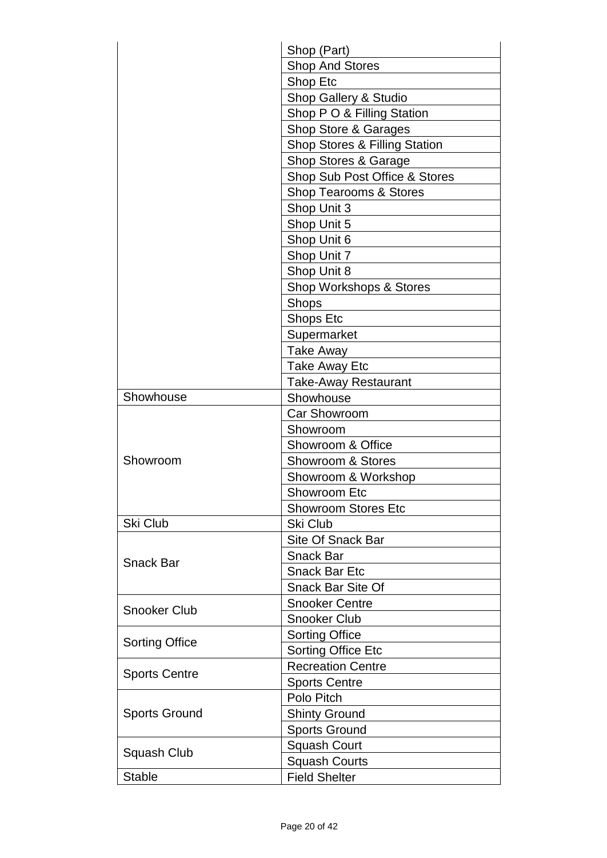|                       | Shop (Part)<br><b>Shop And Stores</b><br>Shop Etc<br>Shop Gallery & Studio |  |
|-----------------------|----------------------------------------------------------------------------|--|
|                       |                                                                            |  |
|                       |                                                                            |  |
|                       |                                                                            |  |
|                       | Shop P O & Filling Station                                                 |  |
|                       | Shop Store & Garages                                                       |  |
|                       | <b>Shop Stores &amp; Filling Station</b><br>Shop Stores & Garage           |  |
|                       |                                                                            |  |
|                       | Shop Sub Post Office & Stores                                              |  |
|                       | <b>Shop Tearooms &amp; Stores</b>                                          |  |
|                       | Shop Unit 3                                                                |  |
|                       | Shop Unit 5                                                                |  |
|                       | Shop Unit 6                                                                |  |
|                       | Shop Unit 7                                                                |  |
|                       | Shop Unit 8                                                                |  |
|                       | Shop Workshops & Stores                                                    |  |
|                       | Shops                                                                      |  |
|                       | Shops Etc                                                                  |  |
|                       | Supermarket                                                                |  |
|                       | Take Away                                                                  |  |
|                       | <b>Take Away Etc</b>                                                       |  |
|                       | <b>Take-Away Restaurant</b>                                                |  |
| Showhouse             | Showhouse                                                                  |  |
|                       | <b>Car Showroom</b>                                                        |  |
|                       | Showroom                                                                   |  |
|                       | Showroom & Office                                                          |  |
| Showroom              | <b>Showroom &amp; Stores</b>                                               |  |
|                       | Showroom & Workshop                                                        |  |
|                       | <b>Showroom Etc</b>                                                        |  |
|                       | <b>Showroom Stores Etc</b>                                                 |  |
| Ski Club              | Ski Club                                                                   |  |
|                       | <b>Site Of Snack Bar</b>                                                   |  |
| <b>Snack Bar</b>      | <b>Snack Bar</b>                                                           |  |
|                       | <b>Snack Bar Etc</b>                                                       |  |
|                       | <b>Snack Bar Site Of</b>                                                   |  |
| <b>Snooker Club</b>   | <b>Snooker Centre</b>                                                      |  |
|                       | <b>Snooker Club</b>                                                        |  |
| <b>Sorting Office</b> | <b>Sorting Office</b>                                                      |  |
|                       | <b>Sorting Office Etc</b>                                                  |  |
| <b>Sports Centre</b>  | <b>Recreation Centre</b>                                                   |  |
|                       | <b>Sports Centre</b>                                                       |  |
| <b>Sports Ground</b>  | Polo Pitch                                                                 |  |
|                       | <b>Shinty Ground</b>                                                       |  |
|                       | <b>Sports Ground</b>                                                       |  |
| Squash Club           | <b>Squash Court</b>                                                        |  |
|                       | <b>Squash Courts</b>                                                       |  |
| <b>Stable</b>         | <b>Field Shelter</b>                                                       |  |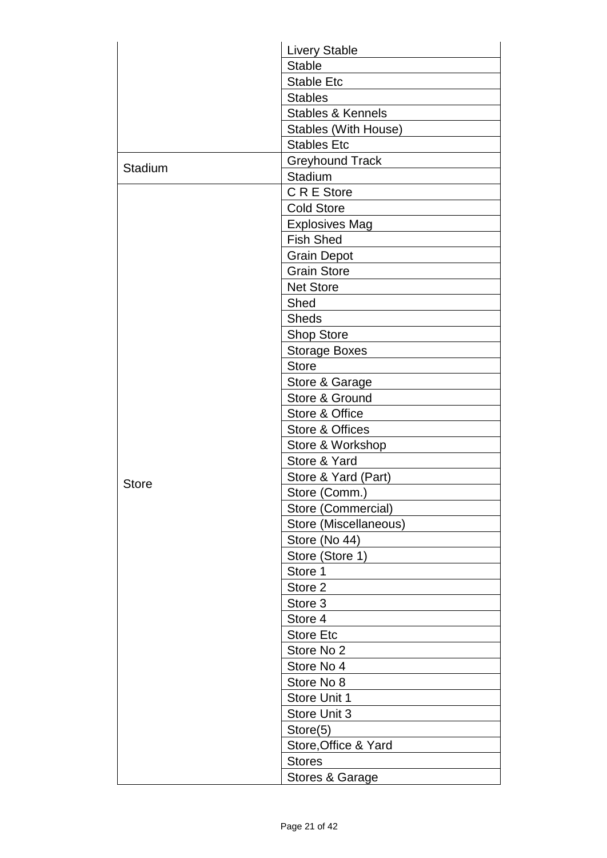|              | <b>Livery Stable</b>         |
|--------------|------------------------------|
|              | <b>Stable</b>                |
|              | <b>Stable Etc</b>            |
|              | <b>Stables</b>               |
|              | <b>Stables &amp; Kennels</b> |
|              | Stables (With House)         |
|              | <b>Stables Etc</b>           |
|              | <b>Greyhound Track</b>       |
| Stadium      | Stadium                      |
|              | C R E Store                  |
|              | <b>Cold Store</b>            |
|              | <b>Explosives Mag</b>        |
|              | <b>Fish Shed</b>             |
|              | <b>Grain Depot</b>           |
|              | <b>Grain Store</b>           |
|              | <b>Net Store</b>             |
|              | Shed                         |
|              | <b>Sheds</b>                 |
|              | <b>Shop Store</b>            |
|              | <b>Storage Boxes</b>         |
|              | <b>Store</b>                 |
|              | Store & Garage               |
|              | Store & Ground               |
|              | Store & Office               |
|              | Store & Offices              |
|              | Store & Workshop             |
|              | Store & Yard                 |
|              | Store & Yard (Part)          |
| <b>Store</b> | Store (Comm.)                |
|              | Store (Commercial)           |
|              | Store (Miscellaneous)        |
|              | Store (No 44)                |
|              | Store (Store 1)              |
|              | Store 1                      |
|              | Store 2                      |
|              | Store 3                      |
|              | Store 4                      |
|              | <b>Store Etc</b>             |
|              | Store No 2                   |
|              | Store No 4                   |
|              | Store No 8                   |
|              | Store Unit 1                 |
|              | Store Unit 3                 |
|              | Store(5)                     |
|              | Store, Office & Yard         |
|              | <b>Stores</b>                |
|              |                              |
|              | Stores & Garage              |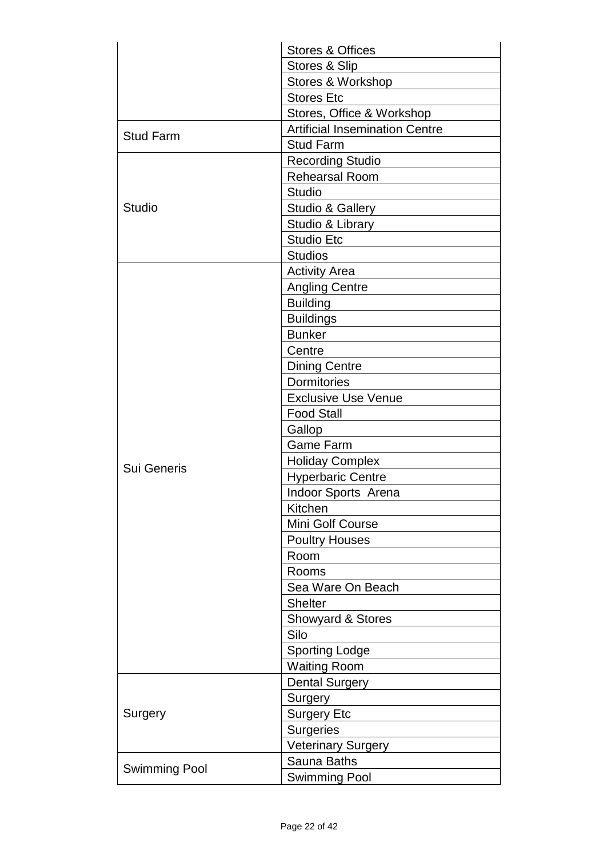|                      | <b>Stores &amp; Offices</b>           |
|----------------------|---------------------------------------|
|                      | Stores & Slip                         |
|                      | Stores & Workshop                     |
|                      | <b>Stores Etc</b>                     |
|                      | Stores, Office & Workshop             |
| <b>Stud Farm</b>     | <b>Artificial Insemination Centre</b> |
|                      | <b>Stud Farm</b>                      |
|                      | <b>Recording Studio</b>               |
|                      | <b>Rehearsal Room</b>                 |
|                      | <b>Studio</b>                         |
| Studio               | Studio & Gallery                      |
|                      | Studio & Library                      |
|                      | <b>Studio Etc</b>                     |
|                      | <b>Studios</b>                        |
|                      | <b>Activity Area</b>                  |
|                      | <b>Angling Centre</b>                 |
|                      | <b>Building</b>                       |
|                      | <b>Buildings</b>                      |
|                      | <b>Bunker</b>                         |
|                      | Centre                                |
|                      | <b>Dining Centre</b>                  |
|                      | <b>Dormitories</b>                    |
|                      | <b>Exclusive Use Venue</b>            |
|                      | <b>Food Stall</b>                     |
|                      | Gallop                                |
|                      | <b>Game Farm</b>                      |
| <b>Sui Generis</b>   | <b>Holiday Complex</b>                |
|                      | <b>Hyperbaric Centre</b>              |
|                      | Indoor Sports Arena                   |
|                      | Kitchen                               |
|                      | Mini Golf Course                      |
|                      | <b>Poultry Houses</b>                 |
|                      | Room                                  |
|                      | Rooms                                 |
|                      | Sea Ware On Beach                     |
|                      | <b>Shelter</b>                        |
|                      | Showyard & Stores                     |
|                      | Silo                                  |
|                      | <b>Sporting Lodge</b>                 |
|                      | <b>Waiting Room</b>                   |
|                      | <b>Dental Surgery</b>                 |
|                      | Surgery                               |
| Surgery              | <b>Surgery Etc</b>                    |
|                      | <b>Surgeries</b>                      |
|                      | <b>Veterinary Surgery</b>             |
|                      | Sauna Baths                           |
| <b>Swimming Pool</b> | Swimming Pool                         |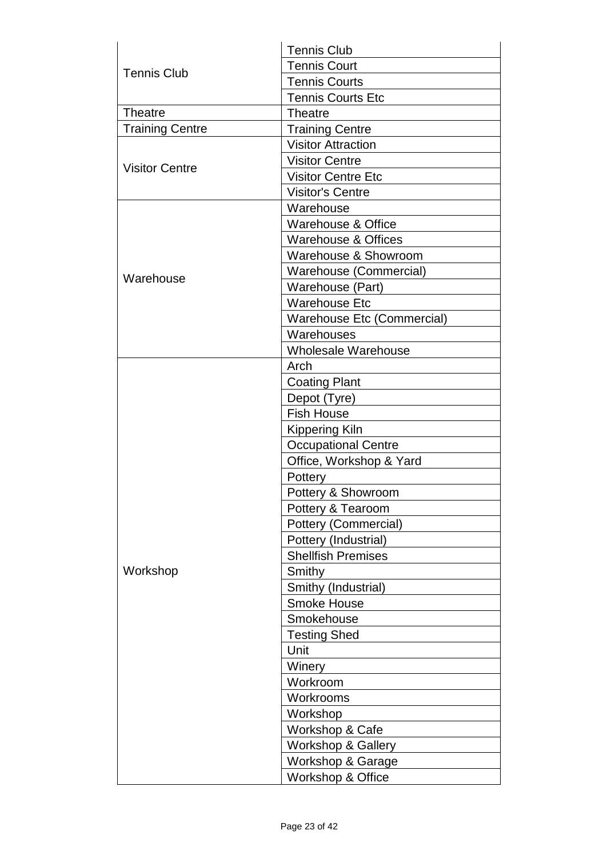| <b>Tennis Club</b>     | <b>Tennis Club</b>                |
|------------------------|-----------------------------------|
|                        | <b>Tennis Court</b>               |
|                        | <b>Tennis Courts</b>              |
|                        | <b>Tennis Courts Etc</b>          |
| <b>Theatre</b>         | <b>Theatre</b>                    |
| <b>Training Centre</b> | <b>Training Centre</b>            |
|                        | <b>Visitor Attraction</b>         |
| <b>Visitor Centre</b>  | <b>Visitor Centre</b>             |
|                        | <b>Visitor Centre Etc</b>         |
|                        | <b>Visitor's Centre</b>           |
|                        | Warehouse                         |
|                        | Warehouse & Office                |
|                        | Warehouse & Offices               |
|                        | Warehouse & Showroom              |
| Warehouse              | Warehouse (Commercial)            |
|                        | Warehouse (Part)                  |
|                        | <b>Warehouse Etc</b>              |
|                        | <b>Warehouse Etc (Commercial)</b> |
|                        | Warehouses                        |
|                        | Wholesale Warehouse               |
|                        | Arch                              |
|                        | <b>Coating Plant</b>              |
|                        | Depot (Tyre)                      |
|                        | <b>Fish House</b>                 |
|                        | Kippering Kiln                    |
|                        | <b>Occupational Centre</b>        |
|                        | Office, Workshop & Yard           |
|                        | Pottery                           |
|                        | Pottery & Showroom                |
|                        | Pottery & Tearoom                 |
|                        | Pottery (Commercial)              |
|                        | Pottery (Industrial)              |
|                        | <b>Shellfish Premises</b>         |
| Workshop               | Smithy                            |
|                        | Smithy (Industrial)               |
|                        | <b>Smoke House</b>                |
|                        | Smokehouse                        |
|                        | <b>Testing Shed</b>               |
|                        | Unit                              |
|                        | Winery                            |
|                        | Workroom                          |
|                        | Workrooms                         |
|                        | Workshop                          |
|                        | Workshop & Cafe                   |
|                        | <b>Workshop &amp; Gallery</b>     |
|                        | <b>Workshop &amp; Garage</b>      |
|                        | Workshop & Office                 |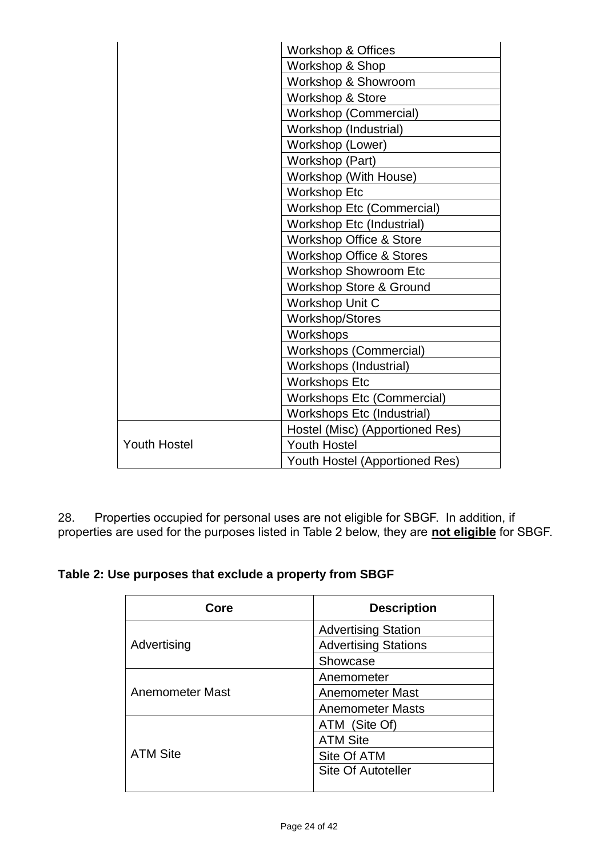|                     | <b>Workshop &amp; Offices</b><br>Workshop & Shop |  |
|---------------------|--------------------------------------------------|--|
|                     |                                                  |  |
|                     | Workshop & Showroom                              |  |
|                     | Workshop & Store                                 |  |
|                     | Workshop (Commercial)                            |  |
|                     | Workshop (Industrial)                            |  |
|                     | Workshop (Lower)                                 |  |
|                     | Workshop (Part)                                  |  |
|                     | Workshop (With House)                            |  |
|                     | <b>Workshop Etc</b>                              |  |
|                     | <b>Workshop Etc (Commercial)</b>                 |  |
|                     | Workshop Etc (Industrial)                        |  |
|                     | Workshop Office & Store                          |  |
|                     | <b>Workshop Office &amp; Stores</b>              |  |
|                     | Workshop Showroom Etc                            |  |
|                     | Workshop Store & Ground                          |  |
|                     | Workshop Unit C                                  |  |
|                     | <b>Workshop/Stores</b>                           |  |
|                     | Workshops                                        |  |
|                     | <b>Workshops (Commercial)</b>                    |  |
|                     | Workshops (Industrial)                           |  |
|                     | <b>Workshops Etc</b>                             |  |
|                     | <b>Workshops Etc (Commercial)</b>                |  |
|                     | Workshops Etc (Industrial)                       |  |
|                     | Hostel (Misc) (Apportioned Res)                  |  |
| <b>Youth Hostel</b> | <b>Youth Hostel</b>                              |  |
|                     | Youth Hostel (Apportioned Res)                   |  |

28. Properties occupied for personal uses are not eligible for SBGF. In addition, if properties are used for the purposes listed in Table 2 below, they are **not eligible** for SBGF.

|  |  |  | Table 2: Use purposes that exclude a property from SBGF |
|--|--|--|---------------------------------------------------------|
|--|--|--|---------------------------------------------------------|

| Core            | <b>Description</b>          |
|-----------------|-----------------------------|
|                 | <b>Advertising Station</b>  |
| Advertising     | <b>Advertising Stations</b> |
|                 | Showcase                    |
|                 | Anemometer                  |
| Anemometer Mast | <b>Anemometer Mast</b>      |
|                 | <b>Anemometer Masts</b>     |
|                 | ATM (Site Of)               |
|                 | <b>ATM Site</b>             |
| <b>ATM Site</b> | Site Of ATM                 |
|                 | <b>Site Of Autoteller</b>   |
|                 |                             |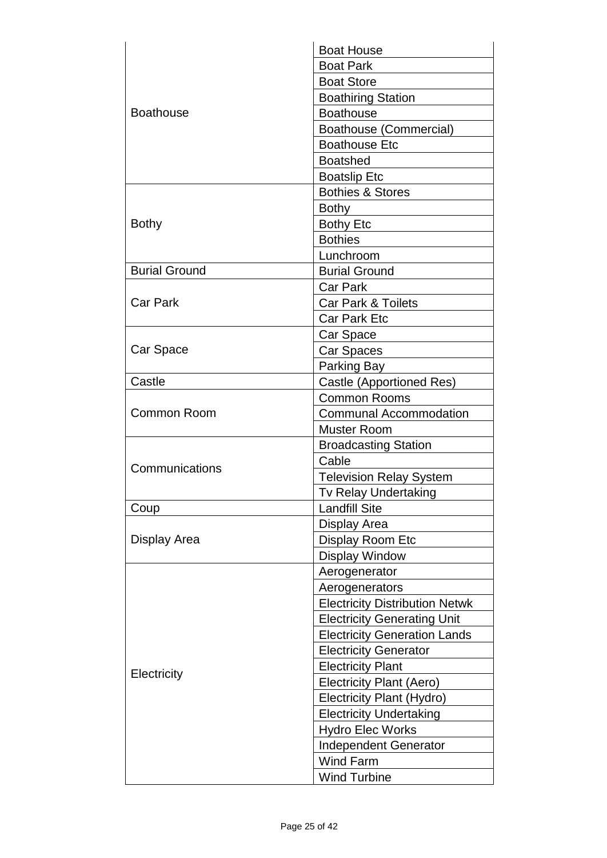|                      | <b>Boat House</b>                     |
|----------------------|---------------------------------------|
|                      | <b>Boat Park</b>                      |
| <b>Boathouse</b>     | <b>Boat Store</b>                     |
|                      | <b>Boathiring Station</b>             |
|                      | <b>Boathouse</b>                      |
|                      | <b>Boathouse (Commercial)</b>         |
|                      | <b>Boathouse Etc</b>                  |
|                      | <b>Boatshed</b>                       |
|                      | <b>Boatslip Etc</b>                   |
|                      | <b>Bothies &amp; Stores</b>           |
|                      | <b>Bothy</b>                          |
| <b>Bothy</b>         | <b>Bothy Etc</b>                      |
|                      | <b>Bothies</b>                        |
|                      | Lunchroom                             |
| <b>Burial Ground</b> | <b>Burial Ground</b>                  |
|                      | <b>Car Park</b>                       |
| <b>Car Park</b>      | <b>Car Park &amp; Toilets</b>         |
|                      | <b>Car Park Etc</b>                   |
|                      | Car Space                             |
| Car Space            | Car Spaces                            |
|                      | Parking Bay                           |
| Castle               | Castle (Apportioned Res)              |
|                      | <b>Common Rooms</b>                   |
| Common Room          | <b>Communal Accommodation</b>         |
|                      | Muster Room                           |
|                      | <b>Broadcasting Station</b>           |
|                      | Cable                                 |
| Communications       | <b>Television Relay System</b>        |
|                      | Tv Relay Undertaking                  |
| Coup                 | <b>Landfill Site</b>                  |
|                      | Display Area                          |
| Display Area         | Display Room Etc                      |
|                      | <b>Display Window</b>                 |
|                      | Aerogenerator                         |
|                      | Aerogenerators                        |
|                      | <b>Electricity Distribution Netwk</b> |
|                      | <b>Electricity Generating Unit</b>    |
| Electricity          | <b>Electricity Generation Lands</b>   |
|                      | <b>Electricity Generator</b>          |
|                      | <b>Electricity Plant</b>              |
|                      | <b>Electricity Plant (Aero)</b>       |
|                      | Electricity Plant (Hydro)             |
|                      | <b>Electricity Undertaking</b>        |
|                      | <b>Hydro Elec Works</b>               |
|                      |                                       |
|                      | <b>Independent Generator</b>          |
|                      | <b>Wind Farm</b>                      |
|                      | <b>Wind Turbine</b>                   |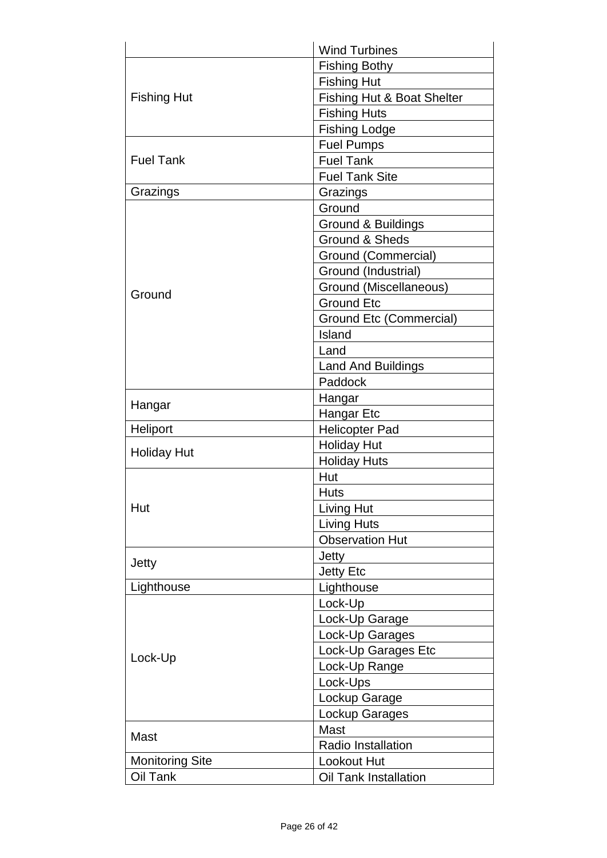|                        | <b>Wind Turbines</b>           |
|------------------------|--------------------------------|
|                        | <b>Fishing Bothy</b>           |
| <b>Fishing Hut</b>     | <b>Fishing Hut</b>             |
|                        | Fishing Hut & Boat Shelter     |
|                        | <b>Fishing Huts</b>            |
|                        | <b>Fishing Lodge</b>           |
|                        | <b>Fuel Pumps</b>              |
| <b>Fuel Tank</b>       | <b>Fuel Tank</b>               |
|                        | <b>Fuel Tank Site</b>          |
| Grazings               | Grazings                       |
|                        | Ground                         |
|                        | Ground & Buildings             |
|                        | <b>Ground &amp; Sheds</b>      |
|                        | Ground (Commercial)            |
|                        | Ground (Industrial)            |
|                        | Ground (Miscellaneous)         |
| Ground                 | <b>Ground Etc</b>              |
|                        | <b>Ground Etc (Commercial)</b> |
|                        | Island                         |
|                        | Land                           |
|                        | <b>Land And Buildings</b>      |
|                        | Paddock                        |
|                        | Hangar                         |
| Hangar                 | Hangar Etc                     |
| Heliport               | <b>Helicopter Pad</b>          |
|                        | <b>Holiday Hut</b>             |
| <b>Holiday Hut</b>     | <b>Holiday Huts</b>            |
|                        | Hut                            |
|                        | <b>Huts</b>                    |
| Hut                    | <b>Living Hut</b>              |
|                        | <b>Living Huts</b>             |
|                        | <b>Observation Hut</b>         |
|                        | Jetty                          |
| Jetty                  | <b>Jetty Etc</b>               |
| Lighthouse             | Lighthouse                     |
|                        | Lock-Up                        |
|                        | Lock-Up Garage                 |
|                        | Lock-Up Garages                |
| Lock-Up                | Lock-Up Garages Etc            |
|                        | Lock-Up Range                  |
|                        |                                |
|                        | Lock-Ups                       |
|                        | Lockup Garage                  |
|                        | Lockup Garages                 |
| Mast                   | <b>Mast</b>                    |
|                        | <b>Radio Installation</b>      |
| <b>Monitoring Site</b> | <b>Lookout Hut</b>             |
| Oil Tank               | Oil Tank Installation          |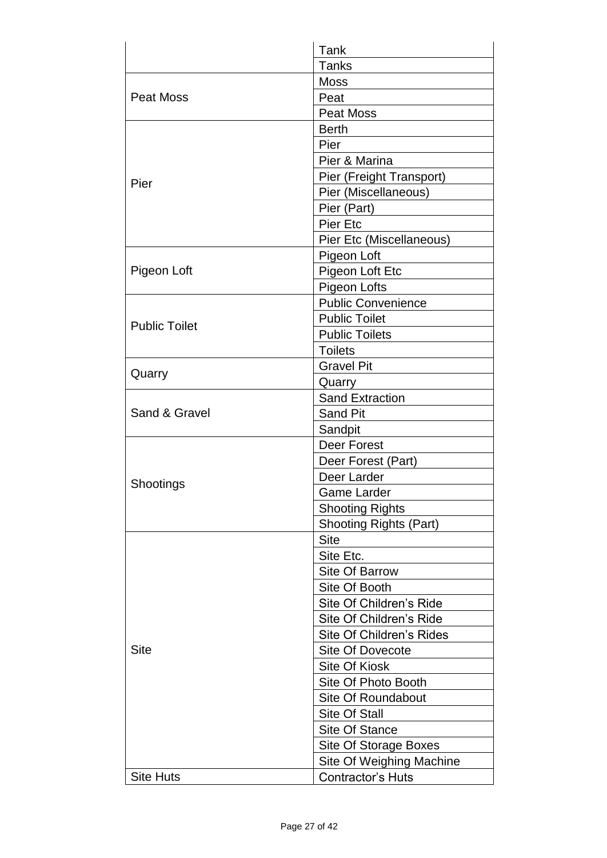|                      | Tank                          |
|----------------------|-------------------------------|
|                      | <b>Tanks</b>                  |
|                      | <b>Moss</b>                   |
| Peat Moss            | Peat                          |
|                      | <b>Peat Moss</b>              |
|                      | <b>Berth</b>                  |
|                      | Pier                          |
|                      | Pier & Marina                 |
| Pier                 | Pier (Freight Transport)      |
|                      | Pier (Miscellaneous)          |
|                      | Pier (Part)                   |
|                      | <b>Pier Etc</b>               |
|                      | Pier Etc (Miscellaneous)      |
|                      | Pigeon Loft                   |
| Pigeon Loft          | Pigeon Loft Etc               |
|                      | Pigeon Lofts                  |
|                      | <b>Public Convenience</b>     |
| <b>Public Toilet</b> | <b>Public Toilet</b>          |
|                      | <b>Public Toilets</b>         |
|                      | <b>Toilets</b>                |
| Quarry               | <b>Gravel Pit</b>             |
|                      | Quarry                        |
|                      | <b>Sand Extraction</b>        |
| Sand & Gravel        | <b>Sand Pit</b>               |
|                      | Sandpit                       |
|                      | Deer Forest                   |
|                      | Deer Forest (Part)            |
| Shootings            | Deer Larder                   |
|                      | <b>Game Larder</b>            |
|                      | <b>Shooting Rights</b>        |
|                      | <b>Shooting Rights (Part)</b> |
|                      | <b>Site</b>                   |
|                      | Site Etc.                     |
|                      | <b>Site Of Barrow</b>         |
|                      | Site Of Booth                 |
|                      | Site Of Children's Ride       |
|                      | Site Of Children's Ride       |
|                      | Site Of Children's Rides      |
| <b>Site</b>          | <b>Site Of Dovecote</b>       |
|                      | <b>Site Of Kiosk</b>          |
|                      | Site Of Photo Booth           |
|                      | <b>Site Of Roundabout</b>     |
|                      | <b>Site Of Stall</b>          |
|                      | <b>Site Of Stance</b>         |
|                      | Site Of Storage Boxes         |
|                      | Site Of Weighing Machine      |
| <b>Site Huts</b>     | <b>Contractor's Huts</b>      |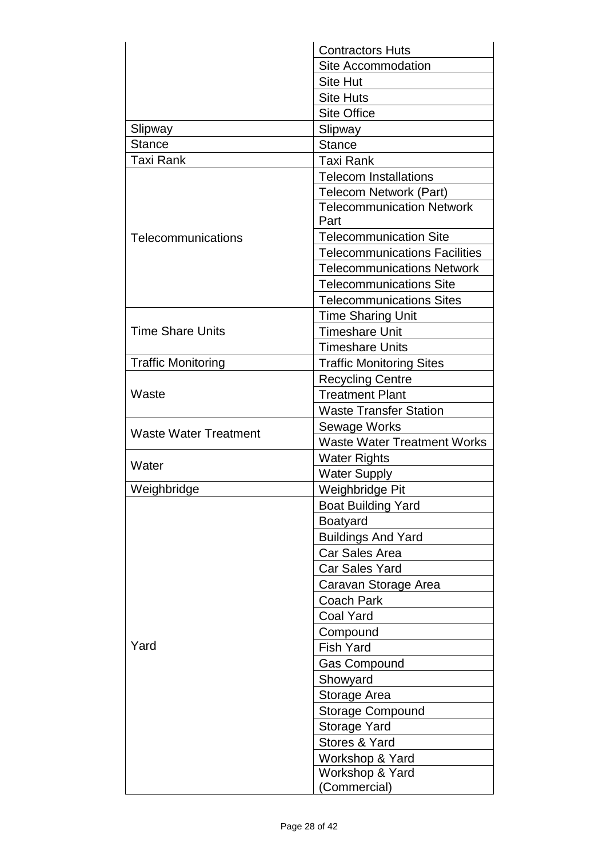|                              | <b>Contractors Huts</b>                  |
|------------------------------|------------------------------------------|
|                              | Site Accommodation                       |
|                              | <b>Site Hut</b>                          |
|                              | <b>Site Huts</b>                         |
|                              | <b>Site Office</b>                       |
| Slipway                      | Slipway                                  |
| <b>Stance</b>                | <b>Stance</b>                            |
| <b>Taxi Rank</b>             | <b>Taxi Rank</b>                         |
|                              | <b>Telecom Installations</b>             |
|                              | <b>Telecom Network (Part)</b>            |
|                              | <b>Telecommunication Network</b><br>Part |
| Telecommunications           | <b>Telecommunication Site</b>            |
|                              | <b>Telecommunications Facilities</b>     |
|                              | <b>Telecommunications Network</b>        |
|                              | <b>Telecommunications Site</b>           |
|                              | <b>Telecommunications Sites</b>          |
|                              | <b>Time Sharing Unit</b>                 |
| <b>Time Share Units</b>      | <b>Timeshare Unit</b>                    |
|                              | <b>Timeshare Units</b>                   |
| <b>Traffic Monitoring</b>    | <b>Traffic Monitoring Sites</b>          |
|                              | <b>Recycling Centre</b>                  |
| Waste                        | <b>Treatment Plant</b>                   |
|                              | <b>Waste Transfer Station</b>            |
|                              | Sewage Works                             |
| <b>Waste Water Treatment</b> | <b>Waste Water Treatment Works</b>       |
|                              | <b>Water Rights</b>                      |
| Water                        | <b>Water Supply</b>                      |
| Weighbridge                  | Weighbridge Pit                          |
|                              | <b>Boat Building Yard</b>                |
|                              | <b>Boatyard</b>                          |
|                              | <b>Buildings And Yard</b>                |
| Yard                         | <b>Car Sales Area</b>                    |
|                              | Car Sales Yard                           |
|                              | Caravan Storage Area                     |
|                              | Coach Park                               |
|                              | <b>Coal Yard</b>                         |
|                              | Compound                                 |
|                              | <b>Fish Yard</b>                         |
|                              | <b>Gas Compound</b>                      |
|                              | Showyard                                 |
|                              | Storage Area                             |
|                              | <b>Storage Compound</b>                  |
|                              | Storage Yard                             |
|                              | Stores & Yard                            |
|                              | Workshop & Yard                          |
|                              | Workshop & Yard                          |
|                              | (Commercial)                             |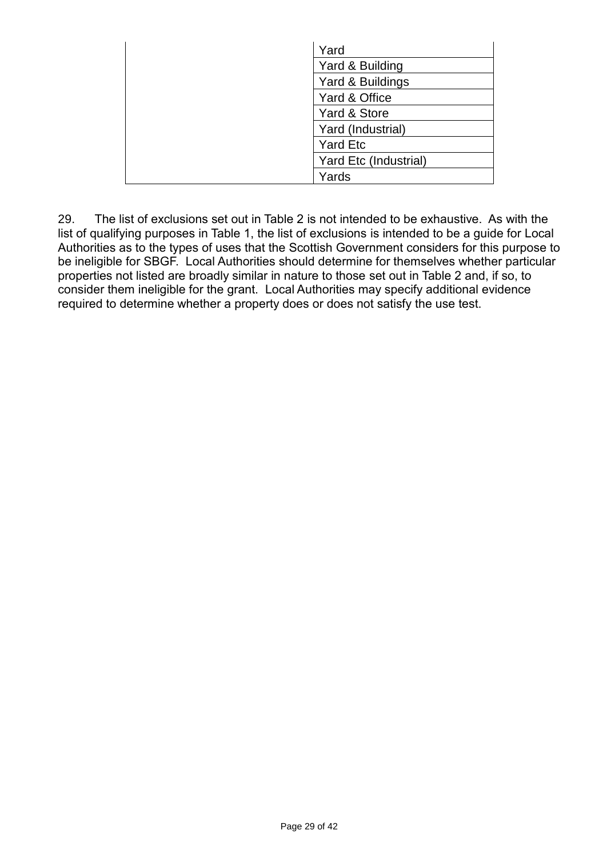| Yard                  |
|-----------------------|
| Yard & Building       |
| Yard & Buildings      |
| Yard & Office         |
| Yard & Store          |
| Yard (Industrial)     |
| <b>Yard Etc</b>       |
| Yard Etc (Industrial) |
| Yards                 |

29. The list of exclusions set out in Table 2 is not intended to be exhaustive. As with the list of qualifying purposes in Table 1, the list of exclusions is intended to be a guide for Local Authorities as to the types of uses that the Scottish Government considers for this purpose to be ineligible for SBGF. Local Authorities should determine for themselves whether particular properties not listed are broadly similar in nature to those set out in Table 2 and, if so, to consider them ineligible for the grant. Local Authorities may specify additional evidence required to determine whether a property does or does not satisfy the use test.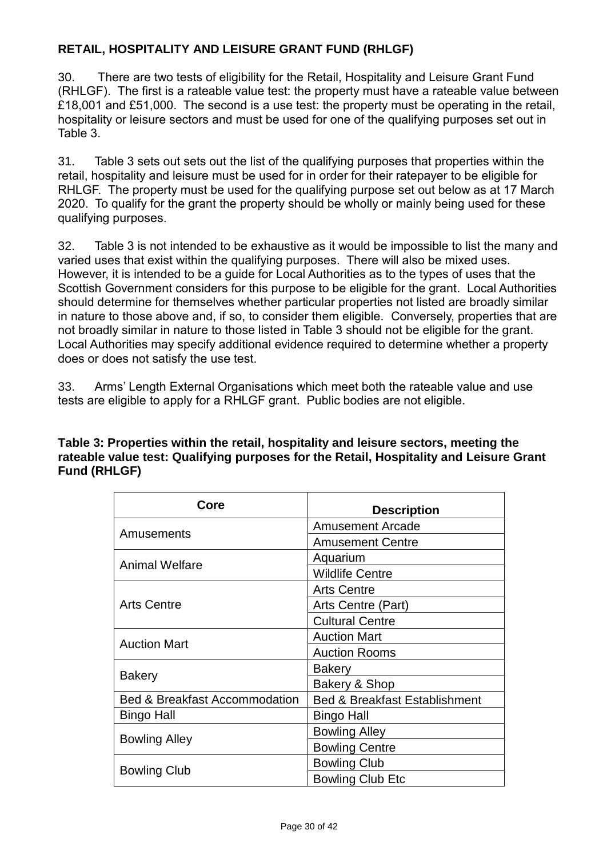## **RETAIL, HOSPITALITY AND LEISURE GRANT FUND (RHLGF)**

30. There are two tests of eligibility for the Retail, Hospitality and Leisure Grant Fund (RHLGF). The first is a rateable value test: the property must have a rateable value between £18,001 and £51,000. The second is a use test: the property must be operating in the retail, hospitality or leisure sectors and must be used for one of the qualifying purposes set out in Table 3.

31. Table 3 sets out sets out the list of the qualifying purposes that properties within the retail, hospitality and leisure must be used for in order for their ratepayer to be eligible for RHLGF. The property must be used for the qualifying purpose set out below as at 17 March 2020. To qualify for the grant the property should be wholly or mainly being used for these qualifying purposes.

32. Table 3 is not intended to be exhaustive as it would be impossible to list the many and varied uses that exist within the qualifying purposes. There will also be mixed uses. However, it is intended to be a guide for Local Authorities as to the types of uses that the Scottish Government considers for this purpose to be eligible for the grant. Local Authorities should determine for themselves whether particular properties not listed are broadly similar in nature to those above and, if so, to consider them eligible. Conversely, properties that are not broadly similar in nature to those listed in Table 3 should not be eligible for the grant. Local Authorities may specify additional evidence required to determine whether a property does or does not satisfy the use test.

33. Arms' Length External Organisations which meet both the rateable value and use tests are eligible to apply for a RHLGF grant. Public bodies are not eligible.

| Table 3: Properties within the retail, hospitality and leisure sectors, meeting the    |
|----------------------------------------------------------------------------------------|
| rateable value test: Qualifying purposes for the Retail, Hospitality and Leisure Grant |
| Fund (RHLGF)                                                                           |

| Core                                     | <b>Description</b>                       |
|------------------------------------------|------------------------------------------|
| Amusements                               | <b>Amusement Arcade</b>                  |
|                                          | <b>Amusement Centre</b>                  |
| Animal Welfare                           | Aquarium                                 |
|                                          | <b>Wildlife Centre</b>                   |
| <b>Arts Centre</b>                       | <b>Arts Centre</b>                       |
|                                          | Arts Centre (Part)                       |
|                                          | <b>Cultural Centre</b>                   |
| <b>Auction Mart</b>                      | <b>Auction Mart</b>                      |
|                                          | <b>Auction Rooms</b>                     |
| <b>Bakery</b>                            | <b>Bakery</b>                            |
|                                          | Bakery & Shop                            |
| <b>Bed &amp; Breakfast Accommodation</b> | <b>Bed &amp; Breakfast Establishment</b> |
| Bingo Hall                               | Bingo Hall                               |
| <b>Bowling Alley</b>                     | <b>Bowling Alley</b>                     |
|                                          | <b>Bowling Centre</b>                    |
| <b>Bowling Club</b>                      | <b>Bowling Club</b>                      |
|                                          | <b>Bowling Club Etc</b>                  |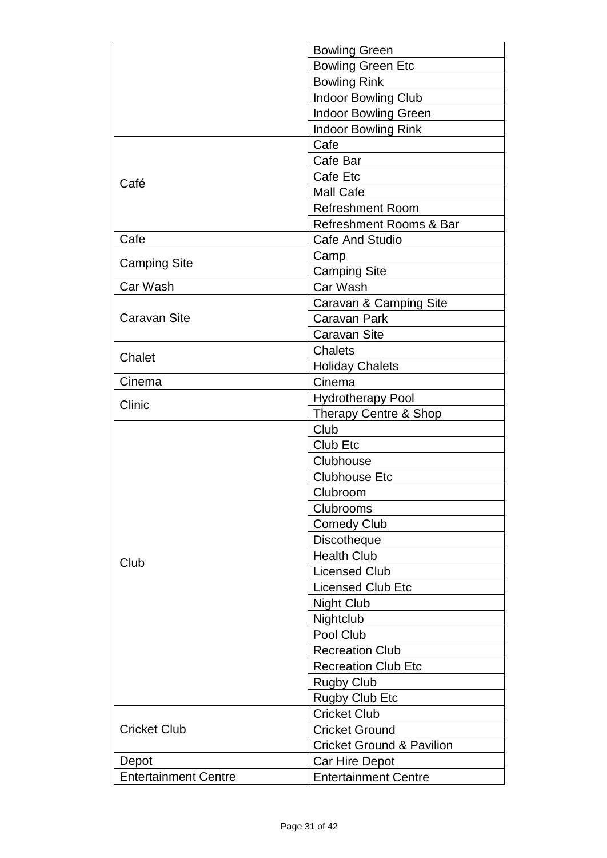|                             | <b>Bowling Green</b>                 |
|-----------------------------|--------------------------------------|
|                             | <b>Bowling Green Etc</b>             |
|                             | <b>Bowling Rink</b>                  |
|                             | <b>Indoor Bowling Club</b>           |
|                             | <b>Indoor Bowling Green</b>          |
|                             | <b>Indoor Bowling Rink</b>           |
|                             | Cafe                                 |
|                             | Cafe Bar                             |
|                             | Cafe Etc                             |
| Café                        | <b>Mall Cafe</b>                     |
|                             | <b>Refreshment Room</b>              |
|                             | Refreshment Rooms & Bar              |
| Cafe                        | <b>Cafe And Studio</b>               |
|                             | Camp                                 |
| <b>Camping Site</b>         | <b>Camping Site</b>                  |
| Car Wash                    | Car Wash                             |
|                             | Caravan & Camping Site               |
| Caravan Site                | Caravan Park                         |
|                             | <b>Caravan Site</b>                  |
|                             | <b>Chalets</b>                       |
| Chalet                      | <b>Holiday Chalets</b>               |
| Cinema                      | Cinema                               |
| Clinic                      | <b>Hydrotherapy Pool</b>             |
|                             | Therapy Centre & Shop                |
|                             | Club                                 |
|                             | Club Etc                             |
|                             | Clubhouse                            |
|                             | <b>Clubhouse Etc</b>                 |
|                             | Clubroom                             |
|                             | Clubrooms                            |
|                             | <b>Comedy Club</b>                   |
| Club                        | <b>Discotheque</b>                   |
|                             | <b>Health Club</b>                   |
|                             | <b>Licensed Club</b>                 |
|                             | <b>Licensed Club Etc</b>             |
|                             | <b>Night Club</b>                    |
|                             | Nightclub                            |
|                             | Pool Club                            |
|                             | <b>Recreation Club</b>               |
|                             | <b>Recreation Club Etc</b>           |
|                             | <b>Rugby Club</b>                    |
|                             | <b>Rugby Club Etc</b>                |
| <b>Cricket Club</b>         | <b>Cricket Club</b>                  |
|                             | <b>Cricket Ground</b>                |
|                             | <b>Cricket Ground &amp; Pavilion</b> |
| Depot                       | Car Hire Depot                       |
| <b>Entertainment Centre</b> | <b>Entertainment Centre</b>          |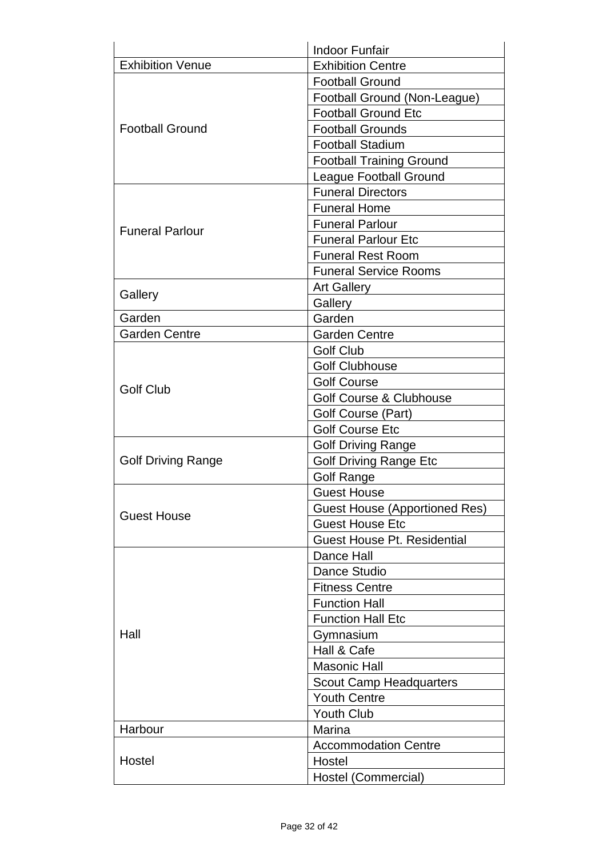|                           | <b>Indoor Funfair</b>                |
|---------------------------|--------------------------------------|
| <b>Exhibition Venue</b>   | <b>Exhibition Centre</b>             |
|                           | <b>Football Ground</b>               |
|                           | Football Ground (Non-League)         |
|                           | <b>Football Ground Etc</b>           |
| <b>Football Ground</b>    | <b>Football Grounds</b>              |
|                           | <b>Football Stadium</b>              |
|                           | <b>Football Training Ground</b>      |
|                           | <b>League Football Ground</b>        |
|                           | <b>Funeral Directors</b>             |
|                           | <b>Funeral Home</b>                  |
| <b>Funeral Parlour</b>    | <b>Funeral Parlour</b>               |
|                           | <b>Funeral Parlour Etc</b>           |
|                           | <b>Funeral Rest Room</b>             |
|                           | <b>Funeral Service Rooms</b>         |
|                           | <b>Art Gallery</b>                   |
| Gallery                   | Gallery                              |
| Garden                    | Garden                               |
| <b>Garden Centre</b>      | <b>Garden Centre</b>                 |
|                           | <b>Golf Club</b>                     |
|                           | <b>Golf Clubhouse</b>                |
| <b>Golf Club</b>          | <b>Golf Course</b>                   |
|                           | <b>Golf Course &amp; Clubhouse</b>   |
|                           | Golf Course (Part)                   |
|                           | <b>Golf Course Etc</b>               |
|                           | <b>Golf Driving Range</b>            |
| <b>Golf Driving Range</b> | <b>Golf Driving Range Etc</b>        |
|                           | <b>Golf Range</b>                    |
|                           | <b>Guest House</b>                   |
| <b>Guest House</b>        | <b>Guest House (Apportioned Res)</b> |
|                           | <b>Guest House Etc</b>               |
|                           | <b>Guest House Pt. Residential</b>   |
| Hall                      | Dance Hall                           |
|                           | Dance Studio                         |
|                           | <b>Fitness Centre</b>                |
|                           | <b>Function Hall</b>                 |
|                           | <b>Function Hall Etc</b>             |
|                           | Gymnasium                            |
|                           | Hall & Cafe                          |
|                           | <b>Masonic Hall</b>                  |
|                           | <b>Scout Camp Headquarters</b>       |
|                           | <b>Youth Centre</b>                  |
|                           | <b>Youth Club</b>                    |
| Harbour                   | Marina                               |
| Hostel                    | <b>Accommodation Centre</b>          |
|                           | Hostel                               |
|                           | Hostel (Commercial)                  |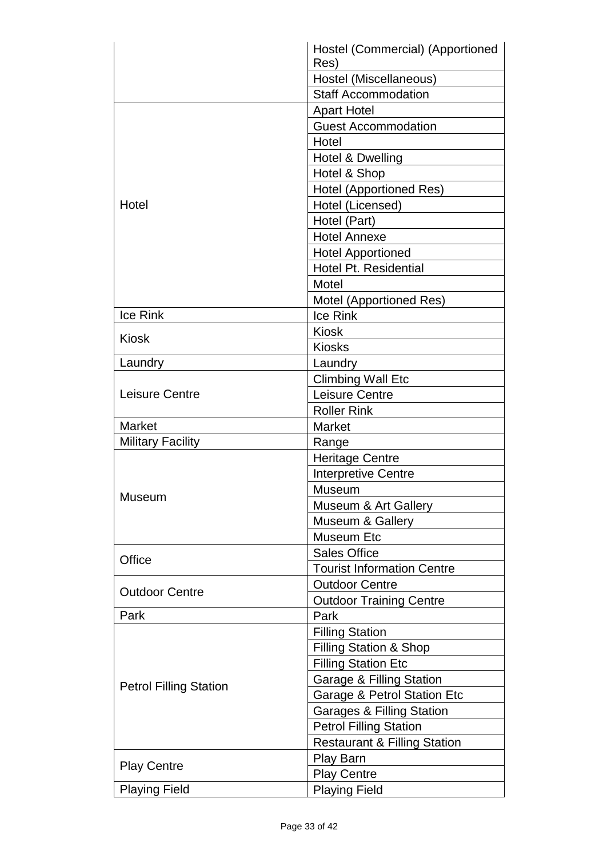|                               | Hostel (Commercial) (Apportioned           |
|-------------------------------|--------------------------------------------|
|                               | Res)                                       |
|                               | Hostel (Miscellaneous)                     |
|                               | <b>Staff Accommodation</b>                 |
|                               | <b>Apart Hotel</b>                         |
|                               | <b>Guest Accommodation</b>                 |
|                               | Hotel                                      |
|                               | Hotel & Dwelling                           |
|                               | Hotel & Shop                               |
|                               | <b>Hotel (Apportioned Res)</b>             |
| Hotel                         | Hotel (Licensed)                           |
|                               | Hotel (Part)                               |
|                               | <b>Hotel Annexe</b>                        |
|                               | <b>Hotel Apportioned</b>                   |
|                               | <b>Hotel Pt. Residential</b>               |
|                               | Motel                                      |
|                               | Motel (Apportioned Res)                    |
| Ice Rink                      | Ice Rink                                   |
|                               | <b>Kiosk</b>                               |
| <b>Kiosk</b>                  | <b>Kiosks</b>                              |
| Laundry                       | Laundry                                    |
|                               | <b>Climbing Wall Etc</b>                   |
| <b>Leisure Centre</b>         | <b>Leisure Centre</b>                      |
|                               | <b>Roller Rink</b>                         |
| Market                        | <b>Market</b>                              |
| <b>Military Facility</b>      |                                            |
|                               | Range                                      |
|                               | <b>Heritage Centre</b>                     |
|                               | <b>Interpretive Centre</b>                 |
| Museum                        | Museum                                     |
|                               | Museum & Art Gallery                       |
|                               | Museum & Gallery                           |
|                               | <b>Museum Etc</b>                          |
| Office                        | <b>Sales Office</b>                        |
|                               | <b>Tourist Information Centre</b>          |
| <b>Outdoor Centre</b>         | <b>Outdoor Centre</b>                      |
|                               | <b>Outdoor Training Centre</b>             |
| Park                          | Park                                       |
| <b>Petrol Filling Station</b> | <b>Filling Station</b>                     |
|                               | Filling Station & Shop                     |
|                               | <b>Filling Station Etc</b>                 |
|                               | <b>Garage &amp; Filling Station</b>        |
|                               | Garage & Petrol Station Etc                |
|                               | <b>Garages &amp; Filling Station</b>       |
|                               | <b>Petrol Filling Station</b>              |
|                               | <b>Restaurant &amp; Filling Station</b>    |
|                               | Play Barn                                  |
| <b>Play Centre</b>            |                                            |
|                               |                                            |
| <b>Playing Field</b>          | <b>Play Centre</b><br><b>Playing Field</b> |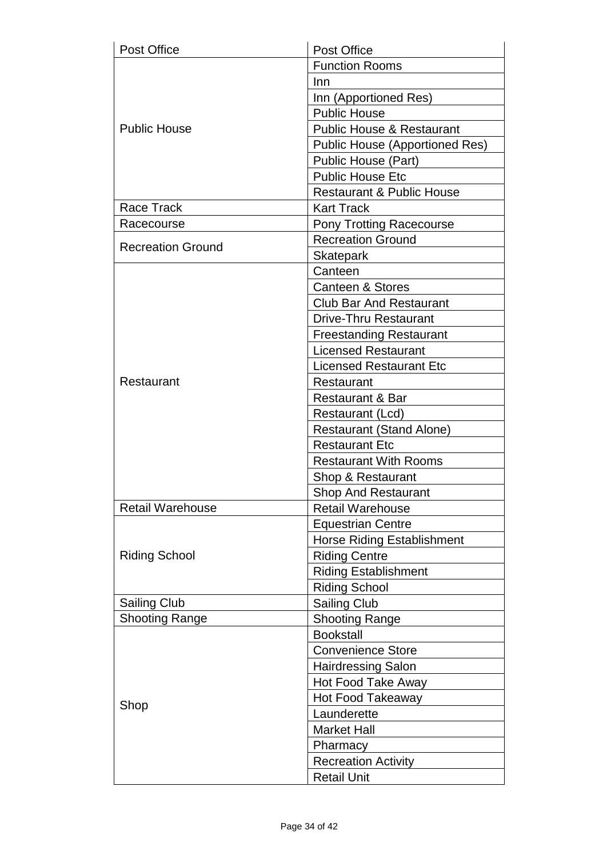| <b>Post Office</b>       | Post Office                           |
|--------------------------|---------------------------------------|
|                          | <b>Function Rooms</b>                 |
|                          | Inn                                   |
|                          | Inn (Apportioned Res)                 |
|                          | <b>Public House</b>                   |
| <b>Public House</b>      | <b>Public House &amp; Restaurant</b>  |
|                          | <b>Public House (Apportioned Res)</b> |
|                          | Public House (Part)                   |
|                          | <b>Public House Etc</b>               |
|                          | <b>Restaurant &amp; Public House</b>  |
| <b>Race Track</b>        | <b>Kart Track</b>                     |
| Racecourse               | <b>Pony Trotting Racecourse</b>       |
|                          | <b>Recreation Ground</b>              |
| <b>Recreation Ground</b> | <b>Skatepark</b>                      |
|                          | Canteen                               |
|                          | <b>Canteen &amp; Stores</b>           |
|                          | <b>Club Bar And Restaurant</b>        |
|                          | <b>Drive-Thru Restaurant</b>          |
|                          | <b>Freestanding Restaurant</b>        |
|                          | <b>Licensed Restaurant</b>            |
|                          | <b>Licensed Restaurant Etc</b>        |
| Restaurant               | Restaurant                            |
|                          | <b>Restaurant &amp; Bar</b>           |
|                          | Restaurant (Lcd)                      |
|                          | <b>Restaurant (Stand Alone)</b>       |
|                          | <b>Restaurant Etc</b>                 |
|                          | <b>Restaurant With Rooms</b>          |
|                          | Shop & Restaurant                     |
|                          | <b>Shop And Restaurant</b>            |
| <b>Retail Warehouse</b>  | <b>Retail Warehouse</b>               |
| <b>Riding School</b>     | <b>Equestrian Centre</b>              |
|                          | <b>Horse Riding Establishment</b>     |
|                          | <b>Riding Centre</b>                  |
|                          | <b>Riding Establishment</b>           |
|                          | <b>Riding School</b>                  |
| Sailing Club             | <b>Sailing Club</b>                   |
| <b>Shooting Range</b>    | <b>Shooting Range</b>                 |
| Shop                     | <b>Bookstall</b>                      |
|                          | <b>Convenience Store</b>              |
|                          | <b>Hairdressing Salon</b>             |
|                          | <b>Hot Food Take Away</b>             |
|                          | <b>Hot Food Takeaway</b>              |
|                          | Launderette                           |
|                          | <b>Market Hall</b>                    |
|                          | Pharmacy                              |
|                          | <b>Recreation Activity</b>            |
|                          | <b>Retail Unit</b>                    |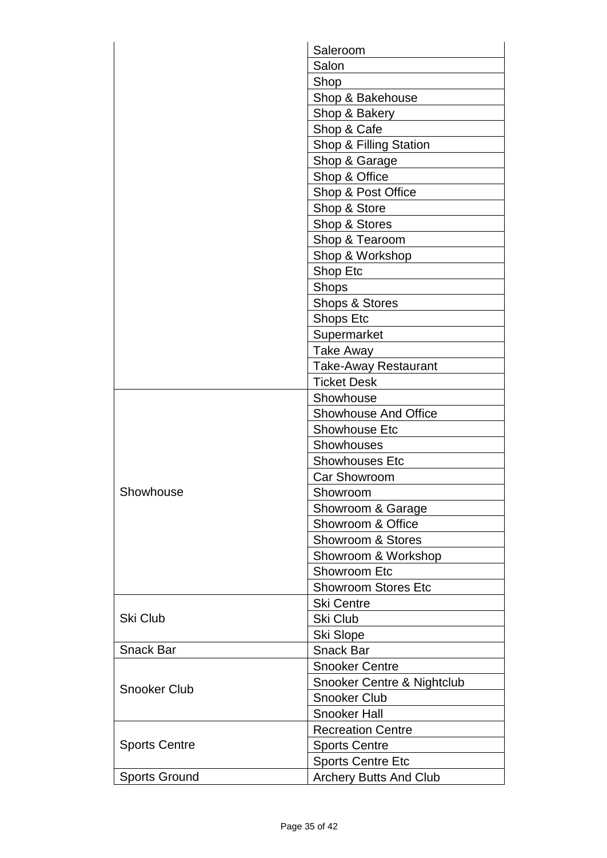|                      | Saleroom                      |
|----------------------|-------------------------------|
|                      | Salon                         |
|                      | Shop                          |
|                      | Shop & Bakehouse              |
|                      | Shop & Bakery                 |
|                      | Shop & Cafe                   |
|                      | Shop & Filling Station        |
|                      | Shop & Garage                 |
|                      | Shop & Office                 |
|                      | Shop & Post Office            |
|                      | Shop & Store                  |
|                      | Shop & Stores                 |
|                      | Shop & Tearoom                |
|                      | Shop & Workshop               |
|                      | Shop Etc                      |
|                      | <b>Shops</b>                  |
|                      | Shops & Stores                |
|                      | Shops Etc                     |
|                      | Supermarket                   |
|                      | <b>Take Away</b>              |
|                      | <b>Take-Away Restaurant</b>   |
|                      | <b>Ticket Desk</b>            |
|                      | Showhouse                     |
|                      | Showhouse And Office          |
|                      | <b>Showhouse Etc</b>          |
|                      | <b>Showhouses</b>             |
|                      | <b>Showhouses Etc</b>         |
|                      | Car Showroom                  |
| Showhouse            | Showroom                      |
|                      | Showroom & Garage             |
|                      | Showroom & Office             |
|                      | Showroom & Stores             |
|                      | Showroom & Workshop           |
|                      | <b>Showroom Etc</b>           |
|                      | <b>Showroom Stores Etc</b>    |
| <b>Ski Club</b>      | <b>Ski Centre</b>             |
|                      | Ski Club                      |
|                      | <b>Ski Slope</b>              |
| <b>Snack Bar</b>     | <b>Snack Bar</b>              |
| <b>Snooker Club</b>  | <b>Snooker Centre</b>         |
|                      | Snooker Centre & Nightclub    |
|                      | <b>Snooker Club</b>           |
|                      | <b>Snooker Hall</b>           |
| <b>Sports Centre</b> | <b>Recreation Centre</b>      |
|                      | <b>Sports Centre</b>          |
|                      | <b>Sports Centre Etc</b>      |
| <b>Sports Ground</b> | <b>Archery Butts And Club</b> |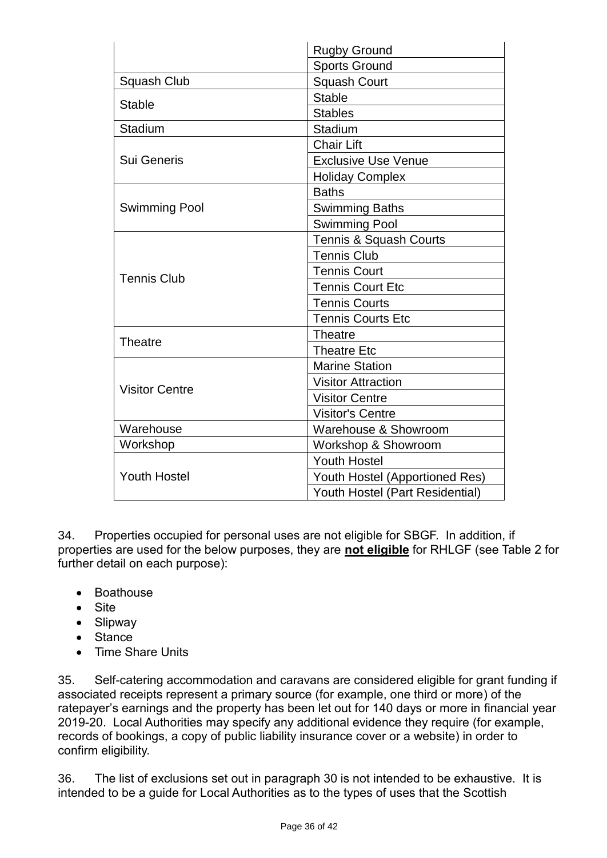|                       | <b>Rugby Ground</b>                    |
|-----------------------|----------------------------------------|
|                       | <b>Sports Ground</b>                   |
| <b>Squash Club</b>    | <b>Squash Court</b>                    |
|                       | <b>Stable</b>                          |
| <b>Stable</b>         | <b>Stables</b>                         |
| Stadium               | Stadium                                |
|                       | <b>Chair Lift</b>                      |
| Sui Generis           | <b>Exclusive Use Venue</b>             |
|                       | <b>Holiday Complex</b>                 |
|                       | <b>Baths</b>                           |
| <b>Swimming Pool</b>  | <b>Swimming Baths</b>                  |
|                       | <b>Swimming Pool</b>                   |
|                       | <b>Tennis &amp; Squash Courts</b>      |
|                       | <b>Tennis Club</b>                     |
| <b>Tennis Club</b>    | <b>Tennis Court</b>                    |
|                       | <b>Tennis Court Etc</b>                |
|                       | <b>Tennis Courts</b>                   |
|                       | <b>Tennis Courts Etc</b>               |
| <b>Theatre</b>        | <b>Theatre</b>                         |
|                       | <b>Theatre Etc</b>                     |
| <b>Visitor Centre</b> | <b>Marine Station</b>                  |
|                       | <b>Visitor Attraction</b>              |
|                       | <b>Visitor Centre</b>                  |
|                       | <b>Visitor's Centre</b>                |
| Warehouse             | Warehouse & Showroom                   |
| Workshop              | Workshop & Showroom                    |
| <b>Youth Hostel</b>   | <b>Youth Hostel</b>                    |
|                       | Youth Hostel (Apportioned Res)         |
|                       | <b>Youth Hostel (Part Residential)</b> |

34. Properties occupied for personal uses are not eligible for SBGF. In addition, if properties are used for the below purposes, they are **not eligible** for RHLGF (see Table 2 for further detail on each purpose):

- Boathouse
- Site
- Slipway
- Stance
- Time Share Units

35. Self-catering accommodation and caravans are considered eligible for grant funding if associated receipts represent a primary source (for example, one third or more) of the ratepayer's earnings and the property has been let out for 140 days or more in financial year 2019-20. Local Authorities may specify any additional evidence they require (for example, records of bookings, a copy of public liability insurance cover or a website) in order to confirm eligibility.

36. The list of exclusions set out in paragraph 30 is not intended to be exhaustive. It is intended to be a guide for Local Authorities as to the types of uses that the Scottish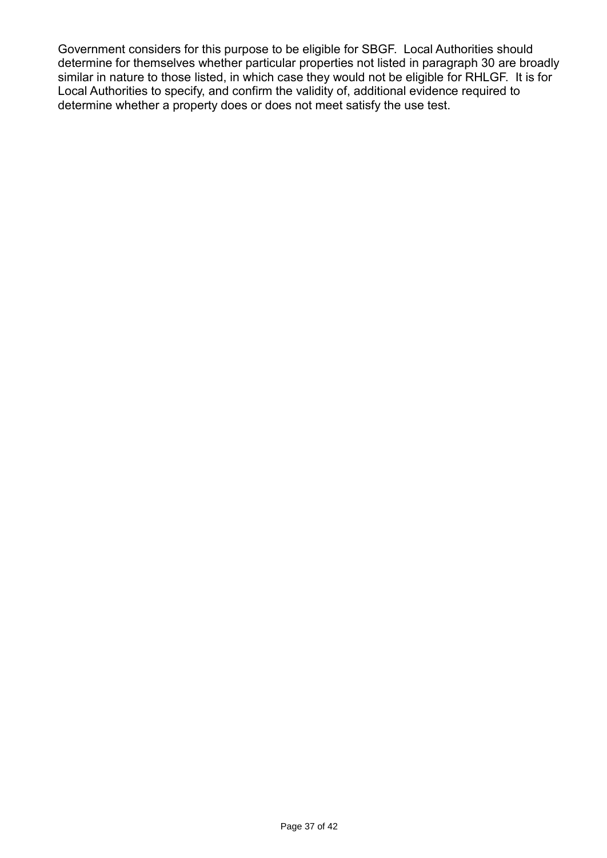Government considers for this purpose to be eligible for SBGF. Local Authorities should determine for themselves whether particular properties not listed in paragraph 30 are broadly similar in nature to those listed, in which case they would not be eligible for RHLGF. It is for Local Authorities to specify, and confirm the validity of, additional evidence required to determine whether a property does or does not meet satisfy the use test.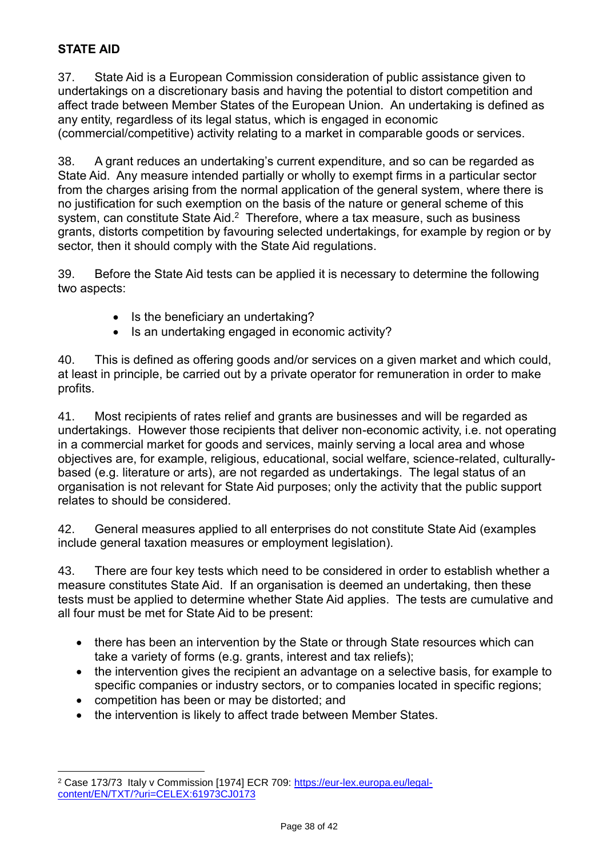## **STATE AID**

37. State Aid is a European Commission consideration of public assistance given to undertakings on a discretionary basis and having the potential to distort competition and affect trade between Member States of the European Union. An undertaking is defined as any entity, regardless of its legal status, which is engaged in economic (commercial/competitive) activity relating to a market in comparable goods or services.

38. A grant reduces an undertaking's current expenditure, and so can be regarded as State Aid. Any measure intended partially or wholly to exempt firms in a particular sector from the charges arising from the normal application of the general system, where there is no justification for such exemption on the basis of the nature or general scheme of this system, can constitute State Aid. $<sup>2</sup>$  Therefore, where a tax measure, such as business</sup> grants, distorts competition by favouring selected undertakings, for example by region or by sector, then it should comply with the State Aid regulations.

39. Before the State Aid tests can be applied it is necessary to determine the following two aspects:

- $\bullet$  Is the beneficiary an undertaking?
- $\bullet$  Is an undertaking engaged in economic activity?

40. This is defined as offering goods and/or services on a given market and which could, at least in principle, be carried out by a private operator for remuneration in order to make profits.

41. Most recipients of rates relief and grants are businesses and will be regarded as undertakings. However those recipients that deliver non-economic activity, i.e. not operating in a commercial market for goods and services, mainly serving a local area and whose objectives are, for example, religious, educational, social welfare, science-related, culturallybased (e.g. literature or arts), are not regarded as undertakings. The legal status of an organisation is not relevant for State Aid purposes; only the activity that the public support relates to should be considered.

42. General measures applied to all enterprises do not constitute State Aid (examples include general taxation measures or employment legislation).

43. There are four key tests which need to be considered in order to establish whether a measure constitutes State Aid. If an organisation is deemed an undertaking, then these tests must be applied to determine whether State Aid applies. The tests are cumulative and all four must be met for State Aid to be present:

- there has been an intervention by the State or through State resources which can take a variety of forms (e.g. grants, interest and tax reliefs);
- the intervention gives the recipient an advantage on a selective basis, for example to specific companies or industry sectors, or to companies located in specific regions;
- competition has been or may be distorted; and

l

• the intervention is likely to affect trade between Member States.

<sup>&</sup>lt;sup>2</sup> Case 173/73 Italy v Commission [1974] ECR 709: [https://eur-lex.europa.eu/legal](https://eur-lex.europa.eu/legal-content/EN/TXT/?uri=CELEX:61973CJ0173)[content/EN/TXT/?uri=CELEX:61973CJ0173](https://eur-lex.europa.eu/legal-content/EN/TXT/?uri=CELEX:61973CJ0173)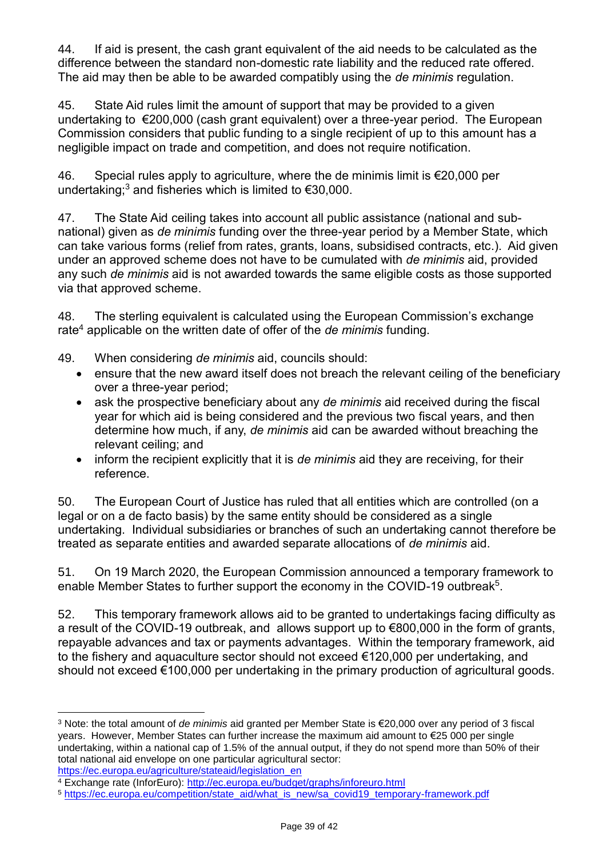44. If aid is present, the cash grant equivalent of the aid needs to be calculated as the difference between the standard non-domestic rate liability and the reduced rate offered. The aid may then be able to be awarded compatibly using the *de minimis* regulation.

45. State Aid rules limit the amount of support that may be provided to a given undertaking to €200,000 (cash grant equivalent) over a three-year period. The European Commission considers that public funding to a single recipient of up to this amount has a negligible impact on trade and competition, and does not require notification.

46. Special rules apply to agriculture, where the de minimis limit is €20,000 per undertaking;<sup>3</sup> and fisheries which is limited to  $\epsilon$ 30,000.

47. The State Aid ceiling takes into account all public assistance (national and subnational) given as *de minimis* funding over the three-year period by a Member State, which can take various forms (relief from rates, grants, loans, subsidised contracts, etc.). Aid given under an approved scheme does not have to be cumulated with *de minimis* aid, provided any such *de minimis* aid is not awarded towards the same eligible costs as those supported via that approved scheme.

48. The sterling equivalent is calculated using the European Commission's exchange rate<sup>4</sup> applicable on the written date of offer of the *de minimis* funding.

49. When considering *de minimis* aid, councils should:

- ensure that the new award itself does not breach the relevant ceiling of the beneficiary over a three-year period;
- ask the prospective beneficiary about any *de minimis* aid received during the fiscal year for which aid is being considered and the previous two fiscal years, and then determine how much, if any, *de minimis* aid can be awarded without breaching the relevant ceiling; and
- inform the recipient explicitly that it is *de minimis* aid they are receiving, for their reference.

50. The European Court of Justice has ruled that all entities which are controlled (on a legal or on a de facto basis) by the same entity should be considered as a single undertaking. Individual subsidiaries or branches of such an undertaking cannot therefore be treated as separate entities and awarded separate allocations of *de minimis* aid.

51. On 19 March 2020, the European Commission announced a temporary framework to enable Member States to further support the economy in the COVID-19 outbreak<sup>5</sup>.

52. This temporary framework allows aid to be granted to undertakings facing difficulty as a result of the COVID-19 outbreak, and allows support up to €800,000 in the form of grants, repayable advances and tax or payments advantages. Within the temporary framework, aid to the fishery and aquaculture sector should not exceed €120,000 per undertaking, and should not exceed €100,000 per undertaking in the primary production of agricultural goods.

[https://ec.europa.eu/agriculture/stateaid/legislation\\_en](https://ec.europa.eu/agriculture/stateaid/legislation_en)

l <sup>3</sup> Note: the total amount of *de minimis* aid granted per Member State is €20,000 over any period of 3 fiscal years. However, Member States can further increase the maximum aid amount to €25 000 per single undertaking, within a national cap of 1.5% of the annual output, if they do not spend more than 50% of their total national aid envelope on one particular agricultural sector:

<sup>4</sup> Exchange rate (InforEuro):<http://ec.europa.eu/budget/graphs/inforeuro.html>

<sup>5</sup> [https://ec.europa.eu/competition/state\\_aid/what\\_is\\_new/sa\\_covid19\\_temporary-framework.pdf](https://ec.europa.eu/competition/state_aid/what_is_new/sa_covid19_temporary-framework.pdf)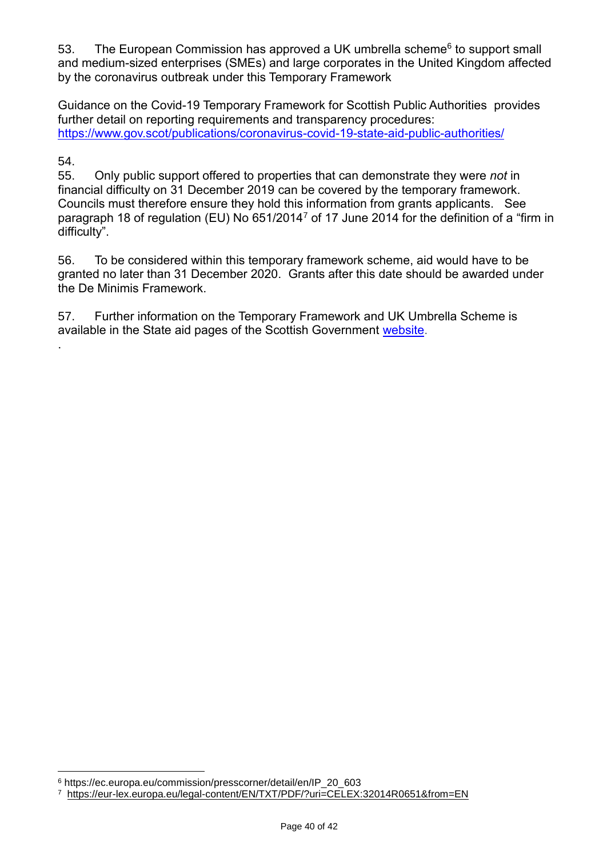53. The European Commission has approved a UK umbrella scheme<sup>6</sup> to support small and medium-sized enterprises (SMEs) and large corporates in the United Kingdom affected by the coronavirus outbreak under this Temporary Framework

Guidance on the Covid-19 Temporary Framework for Scottish Public Authorities provides further detail on reporting requirements and transparency procedures: <https://www.gov.scot/publications/coronavirus-covid-19-state-aid-public-authorities/>

#### 54.

.

l

55. Only public support offered to properties that can demonstrate they were *not* in financial difficulty on 31 December 2019 can be covered by the temporary framework. Councils must therefore ensure they hold this information from grants applicants. See paragraph 18 of regulation (EU) No 651/2014<sup>7</sup> of 17 June 2014 for the definition of a "firm in difficulty".

56. To be considered within this temporary framework scheme, aid would have to be granted no later than 31 December 2020. Grants after this date should be awarded under the De Minimis Framework.

57. Further information on the Temporary Framework and UK Umbrella Scheme is available in the State aid pages of the Scottish Government [website.](https://www.gov.scot/publications/state-aid-guidance/)

<sup>6</sup> https://ec.europa.eu/commission/presscorner/detail/en/IP\_20\_603

<sup>7</sup> <https://eur-lex.europa.eu/legal-content/EN/TXT/PDF/?uri=CELEX:32014R0651&from=EN>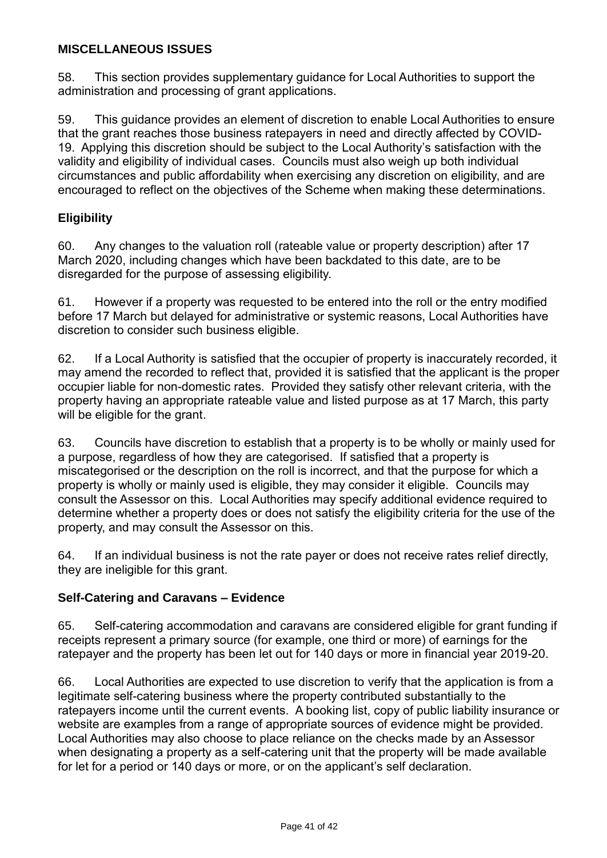### **MISCELLANEOUS ISSUES**

58. This section provides supplementary guidance for Local Authorities to support the administration and processing of grant applications.

59. This guidance provides an element of discretion to enable Local Authorities to ensure that the grant reaches those business ratepayers in need and directly affected by COVID-19. Applying this discretion should be subject to the Local Authority's satisfaction with the validity and eligibility of individual cases. Councils must also weigh up both individual circumstances and public affordability when exercising any discretion on eligibility, and are encouraged to reflect on the objectives of the Scheme when making these determinations.

### **Eligibility**

60. Any changes to the valuation roll (rateable value or property description) after 17 March 2020, including changes which have been backdated to this date, are to be disregarded for the purpose of assessing eligibility.

61. However if a property was requested to be entered into the roll or the entry modified before 17 March but delayed for administrative or systemic reasons, Local Authorities have discretion to consider such business eligible.

62. If a Local Authority is satisfied that the occupier of property is inaccurately recorded, it may amend the recorded to reflect that, provided it is satisfied that the applicant is the proper occupier liable for non-domestic rates. Provided they satisfy other relevant criteria, with the property having an appropriate rateable value and listed purpose as at 17 March, this party will be eligible for the grant.

63. Councils have discretion to establish that a property is to be wholly or mainly used for a purpose, regardless of how they are categorised. If satisfied that a property is miscategorised or the description on the roll is incorrect, and that the purpose for which a property is wholly or mainly used is eligible, they may consider it eligible. Councils may consult the Assessor on this. Local Authorities may specify additional evidence required to determine whether a property does or does not satisfy the eligibility criteria for the use of the property, and may consult the Assessor on this.

64. If an individual business is not the rate payer or does not receive rates relief directly, they are ineligible for this grant.

### **Self-Catering and Caravans – Evidence**

65. Self-catering accommodation and caravans are considered eligible for grant funding if receipts represent a primary source (for example, one third or more) of earnings for the ratepayer and the property has been let out for 140 days or more in financial year 2019-20.

66. Local Authorities are expected to use discretion to verify that the application is from a legitimate self-catering business where the property contributed substantially to the ratepayers income until the current events. A booking list, copy of public liability insurance or website are examples from a range of appropriate sources of evidence might be provided. Local Authorities may also choose to place reliance on the checks made by an Assessor when designating a property as a self-catering unit that the property will be made available for let for a period or 140 days or more, or on the applicant's self declaration.